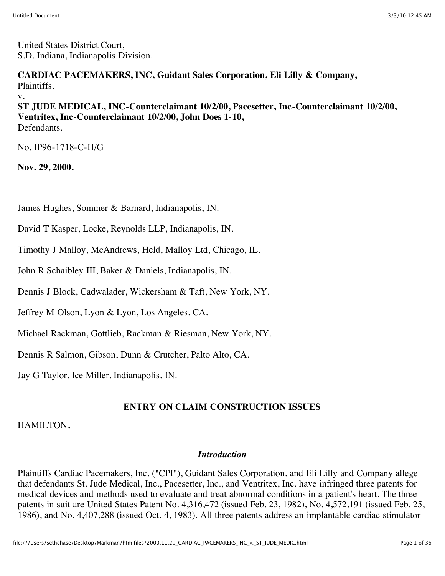United States District Court, S.D. Indiana, Indianapolis Division.

**CARDIAC PACEMAKERS, INC, Guidant Sales Corporation, Eli Lilly & Company,** Plaintiffs.

v.

**ST JUDE MEDICAL, INC-Counterclaimant 10/2/00, Pacesetter, Inc-Counterclaimant 10/2/00, Ventritex, Inc-Counterclaimant 10/2/00, John Does 1-10,** Defendants.

No. IP96-1718-C-H/G

**Nov. 29, 2000.**

James Hughes, Sommer & Barnard, Indianapolis, IN.

David T Kasper, Locke, Reynolds LLP, Indianapolis, IN.

Timothy J Malloy, McAndrews, Held, Malloy Ltd, Chicago, IL.

John R Schaibley III, Baker & Daniels, Indianapolis, IN.

Dennis J Block, Cadwalader, Wickersham & Taft, New York, NY.

Jeffrey M Olson, Lyon & Lyon, Los Angeles, CA.

Michael Rackman, Gottlieb, Rackman & Riesman, New York, NY.

Dennis R Salmon, Gibson, Dunn & Crutcher, Palto Alto, CA.

Jay G Taylor, Ice Miller, Indianapolis, IN.

# **ENTRY ON CLAIM CONSTRUCTION ISSUES**

#### HAMILTON**.**

#### *Introduction*

Plaintiffs Cardiac Pacemakers, Inc. ("CPI"), Guidant Sales Corporation, and Eli Lilly and Company allege that defendants St. Jude Medical, Inc., Pacesetter, Inc., and Ventritex, Inc. have infringed three patents for medical devices and methods used to evaluate and treat abnormal conditions in a patient's heart. The three patents in suit are United States Patent No. 4,316,472 (issued Feb. 23, 1982), No. 4,572,191 (issued Feb. 25, 1986), and No. 4,407,288 (issued Oct. 4, 1983). All three patents address an implantable cardiac stimulator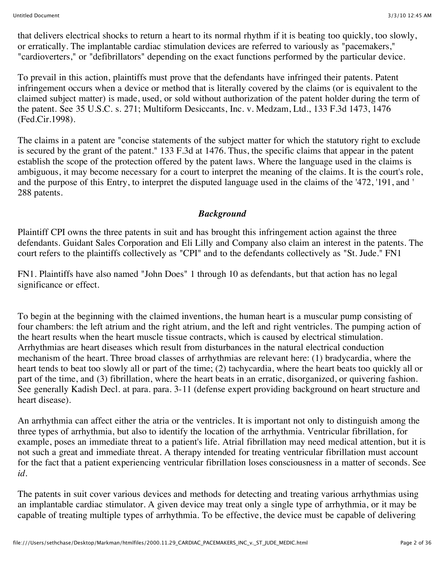that delivers electrical shocks to return a heart to its normal rhythm if it is beating too quickly, too slowly, or erratically. The implantable cardiac stimulation devices are referred to variously as "pacemakers," "cardioverters," or "defibrillators" depending on the exact functions performed by the particular device.

To prevail in this action, plaintiffs must prove that the defendants have infringed their patents. Patent infringement occurs when a device or method that is literally covered by the claims (or is equivalent to the claimed subject matter) is made, used, or sold without authorization of the patent holder during the term of the patent. See 35 U.S.C. s. 271; Multiform Desiccants, Inc. v. Medzam, Ltd., 133 F.3d 1473, 1476 (Fed.Cir.1998).

The claims in a patent are "concise statements of the subject matter for which the statutory right to exclude is secured by the grant of the patent." 133 F.3d at 1476. Thus, the specific claims that appear in the patent establish the scope of the protection offered by the patent laws. Where the language used in the claims is ambiguous, it may become necessary for a court to interpret the meaning of the claims. It is the court's role, and the purpose of this Entry, to interpret the disputed language used in the claims of the '472, '191, and ' 288 patents.

#### *Background*

Plaintiff CPI owns the three patents in suit and has brought this infringement action against the three defendants. Guidant Sales Corporation and Eli Lilly and Company also claim an interest in the patents. The court refers to the plaintiffs collectively as "CPI" and to the defendants collectively as "St. Jude." FN1

FN1. Plaintiffs have also named "John Does" 1 through 10 as defendants, but that action has no legal significance or effect.

To begin at the beginning with the claimed inventions, the human heart is a muscular pump consisting of four chambers: the left atrium and the right atrium, and the left and right ventricles. The pumping action of the heart results when the heart muscle tissue contracts, which is caused by electrical stimulation. Arrhythmias are heart diseases which result from disturbances in the natural electrical conduction mechanism of the heart. Three broad classes of arrhythmias are relevant here: (1) bradycardia, where the heart tends to beat too slowly all or part of the time; (2) tachycardia, where the heart beats too quickly all or part of the time, and (3) fibrillation, where the heart beats in an erratic, disorganized, or quivering fashion. See generally Kadish Decl. at para. para. 3-11 (defense expert providing background on heart structure and heart disease).

An arrhythmia can affect either the atria or the ventricles. It is important not only to distinguish among the three types of arrhythmia, but also to identify the location of the arrhythmia. Ventricular fibrillation, for example, poses an immediate threat to a patient's life. Atrial fibrillation may need medical attention, but it is not such a great and immediate threat. A therapy intended for treating ventricular fibrillation must account for the fact that a patient experiencing ventricular fibrillation loses consciousness in a matter of seconds. See *id.*

The patents in suit cover various devices and methods for detecting and treating various arrhythmias using an implantable cardiac stimulator. A given device may treat only a single type of arrhythmia, or it may be capable of treating multiple types of arrhythmia. To be effective, the device must be capable of delivering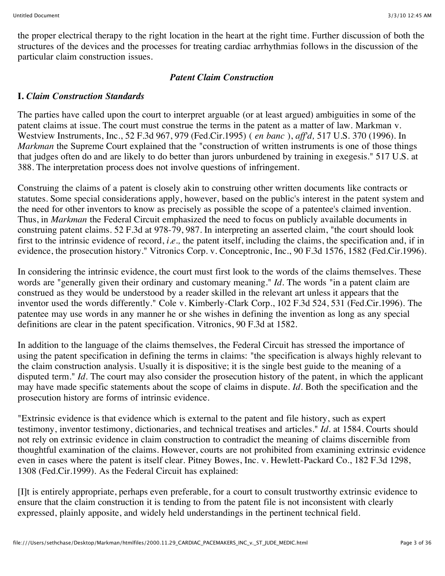the proper electrical therapy to the right location in the heart at the right time. Further discussion of both the structures of the devices and the processes for treating cardiac arrhythmias follows in the discussion of the particular claim construction issues.

#### *Patent Claim Construction*

#### **I.** *Claim Construction Standards*

The parties have called upon the court to interpret arguable (or at least argued) ambiguities in some of the patent claims at issue. The court must construe the terms in the patent as a matter of law. Markman v. Westview Instruments, Inc., 52 F.3d 967, 979 (Fed.Cir.1995) ( *en banc* ), *aff'd,* 517 U.S. 370 (1996). In *Markman* the Supreme Court explained that the "construction of written instruments is one of those things that judges often do and are likely to do better than jurors unburdened by training in exegesis." 517 U.S. at 388. The interpretation process does not involve questions of infringement.

Construing the claims of a patent is closely akin to construing other written documents like contracts or statutes. Some special considerations apply, however, based on the public's interest in the patent system and the need for other inventors to know as precisely as possible the scope of a patentee's claimed invention. Thus, in *Markman* the Federal Circuit emphasized the need to focus on publicly available documents in construing patent claims. 52 F.3d at 978-79, 987. In interpreting an asserted claim, "the court should look first to the intrinsic evidence of record, *i.e.,* the patent itself, including the claims, the specification and, if in evidence, the prosecution history." Vitronics Corp. v. Conceptronic, Inc., 90 F.3d 1576, 1582 (Fed.Cir.1996).

In considering the intrinsic evidence, the court must first look to the words of the claims themselves. These words are "generally given their ordinary and customary meaning." *Id.* The words "in a patent claim are construed as they would be understood by a reader skilled in the relevant art unless it appears that the inventor used the words differently." Cole v. Kimberly-Clark Corp., 102 F.3d 524, 531 (Fed.Cir.1996). The patentee may use words in any manner he or she wishes in defining the invention as long as any special definitions are clear in the patent specification. Vitronics, 90 F.3d at 1582.

In addition to the language of the claims themselves, the Federal Circuit has stressed the importance of using the patent specification in defining the terms in claims: "the specification is always highly relevant to the claim construction analysis. Usually it is dispositive; it is the single best guide to the meaning of a disputed term." *Id.* The court may also consider the prosecution history of the patent, in which the applicant may have made specific statements about the scope of claims in dispute. *Id.* Both the specification and the prosecution history are forms of intrinsic evidence.

"Extrinsic evidence is that evidence which is external to the patent and file history, such as expert testimony, inventor testimony, dictionaries, and technical treatises and articles." *Id.* at 1584. Courts should not rely on extrinsic evidence in claim construction to contradict the meaning of claims discernible from thoughtful examination of the claims. However, courts are not prohibited from examining extrinsic evidence even in cases where the patent is itself clear. Pitney Bowes, Inc. v. Hewlett-Packard Co., 182 F.3d 1298, 1308 (Fed.Cir.1999). As the Federal Circuit has explained:

[I]t is entirely appropriate, perhaps even preferable, for a court to consult trustworthy extrinsic evidence to ensure that the claim construction it is tending to from the patent file is not inconsistent with clearly expressed, plainly apposite, and widely held understandings in the pertinent technical field.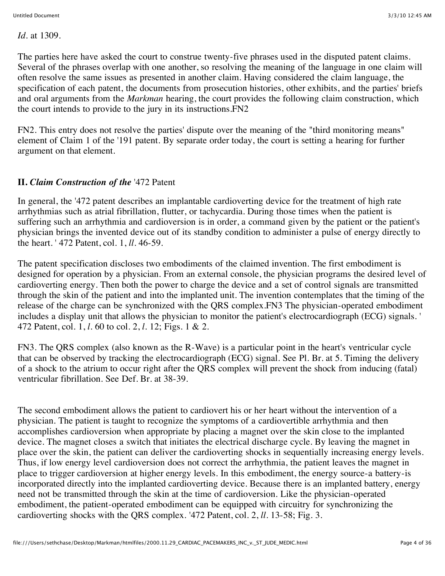*Id.* at 1309.

The parties here have asked the court to construe twenty-five phrases used in the disputed patent claims. Several of the phrases overlap with one another, so resolving the meaning of the language in one claim will often resolve the same issues as presented in another claim. Having considered the claim language, the specification of each patent, the documents from prosecution histories, other exhibits, and the parties' briefs and oral arguments from the *Markman* hearing, the court provides the following claim construction, which the court intends to provide to the jury in its instructions.FN2

FN2. This entry does not resolve the parties' dispute over the meaning of the "third monitoring means" element of Claim 1 of the '191 patent. By separate order today, the court is setting a hearing for further argument on that element.

## **II.** *Claim Construction of the* '472 Patent

In general, the '472 patent describes an implantable cardioverting device for the treatment of high rate arrhythmias such as atrial fibrillation, flutter, or tachycardia. During those times when the patient is suffering such an arrhythmia and cardioversion is in order, a command given by the patient or the patient's physician brings the invented device out of its standby condition to administer a pulse of energy directly to the heart. ' 472 Patent, col. 1, *ll.* 46-59.

The patent specification discloses two embodiments of the claimed invention. The first embodiment is designed for operation by a physician. From an external console, the physician programs the desired level of cardioverting energy. Then both the power to charge the device and a set of control signals are transmitted through the skin of the patient and into the implanted unit. The invention contemplates that the timing of the release of the charge can be synchronized with the QRS complex.FN3 The physician-operated embodiment includes a display unit that allows the physician to monitor the patient's electrocardiograph (ECG) signals. ' 472 Patent, col. 1, *l.* 60 to col. 2, *l.* 12; Figs. 1 & 2.

FN3. The QRS complex (also known as the R-Wave) is a particular point in the heart's ventricular cycle that can be observed by tracking the electrocardiograph (ECG) signal. See Pl. Br. at 5. Timing the delivery of a shock to the atrium to occur right after the QRS complex will prevent the shock from inducing (fatal) ventricular fibrillation. See Def. Br. at 38-39.

The second embodiment allows the patient to cardiovert his or her heart without the intervention of a physician. The patient is taught to recognize the symptoms of a cardiovertible arrhythmia and then accomplishes cardioversion when appropriate by placing a magnet over the skin close to the implanted device. The magnet closes a switch that initiates the electrical discharge cycle. By leaving the magnet in place over the skin, the patient can deliver the cardioverting shocks in sequentially increasing energy levels. Thus, if low energy level cardioversion does not correct the arrhythmia, the patient leaves the magnet in place to trigger cardioversion at higher energy levels. In this embodiment, the energy source-a battery-is incorporated directly into the implanted cardioverting device. Because there is an implanted battery, energy need not be transmitted through the skin at the time of cardioversion. Like the physician-operated embodiment, the patient-operated embodiment can be equipped with circuitry for synchronizing the cardioverting shocks with the QRS complex. '472 Patent, col. 2, *ll.* 13-58; Fig. 3.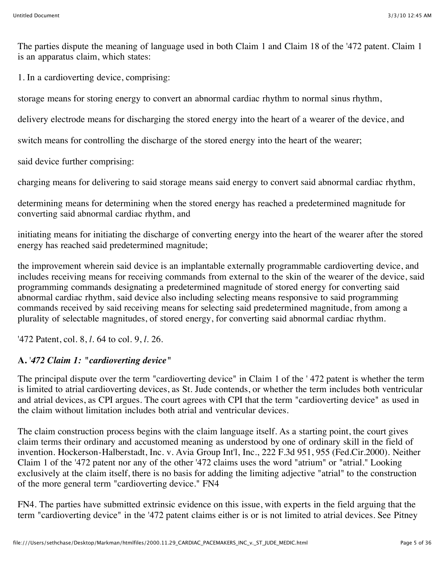The parties dispute the meaning of language used in both Claim 1 and Claim 18 of the '472 patent. Claim 1 is an apparatus claim, which states:

1. In a cardioverting device, comprising:

storage means for storing energy to convert an abnormal cardiac rhythm to normal sinus rhythm,

delivery electrode means for discharging the stored energy into the heart of a wearer of the device, and

switch means for controlling the discharge of the stored energy into the heart of the wearer;

said device further comprising:

charging means for delivering to said storage means said energy to convert said abnormal cardiac rhythm,

determining means for determining when the stored energy has reached a predetermined magnitude for converting said abnormal cardiac rhythm, and

initiating means for initiating the discharge of converting energy into the heart of the wearer after the stored energy has reached said predetermined magnitude;

the improvement wherein said device is an implantable externally programmable cardioverting device, and includes receiving means for receiving commands from external to the skin of the wearer of the device, said programming commands designating a predetermined magnitude of stored energy for converting said abnormal cardiac rhythm, said device also including selecting means responsive to said programming commands received by said receiving means for selecting said predetermined magnitude, from among a plurality of selectable magnitudes, of stored energy, for converting said abnormal cardiac rhythm.

'472 Patent, col. 8, *l.* 64 to col. 9, *l.* 26.

# **A.** '*472 Claim 1: "cardioverting device"*

The principal dispute over the term "cardioverting device" in Claim 1 of the ' 472 patent is whether the term is limited to atrial cardioverting devices, as St. Jude contends, or whether the term includes both ventricular and atrial devices, as CPI argues. The court agrees with CPI that the term "cardioverting device" as used in the claim without limitation includes both atrial and ventricular devices.

The claim construction process begins with the claim language itself. As a starting point, the court gives claim terms their ordinary and accustomed meaning as understood by one of ordinary skill in the field of invention. Hockerson-Halberstadt, Inc. v. Avia Group Int'l, Inc., 222 F.3d 951, 955 (Fed.Cir.2000). Neither Claim 1 of the '472 patent nor any of the other '472 claims uses the word "atrium" or "atrial." Looking exclusively at the claim itself, there is no basis for adding the limiting adjective "atrial" to the construction of the more general term "cardioverting device." FN4

FN4. The parties have submitted extrinsic evidence on this issue, with experts in the field arguing that the term "cardioverting device" in the '472 patent claims either is or is not limited to atrial devices. See Pitney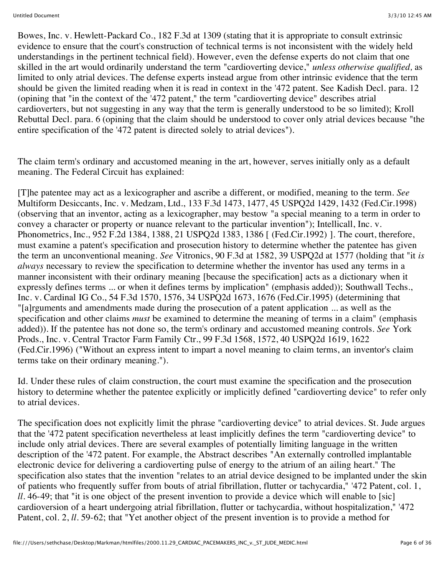Bowes, Inc. v. Hewlett-Packard Co., 182 F.3d at 1309 (stating that it is appropriate to consult extrinsic evidence to ensure that the court's construction of technical terms is not inconsistent with the widely held understandings in the pertinent technical field). However, even the defense experts do not claim that one skilled in the art would ordinarily understand the term "cardioverting device," *unless otherwise qualified,* as limited to only atrial devices. The defense experts instead argue from other intrinsic evidence that the term should be given the limited reading when it is read in context in the '472 patent. See Kadish Decl. para. 12 (opining that "in the context of the '472 patent," the term "cardioverting device" describes atrial cardioverters, but not suggesting in any way that the term is generally understood to be so limited); Kroll Rebuttal Decl. para. 6 (opining that the claim should be understood to cover only atrial devices because "the entire specification of the '472 patent is directed solely to atrial devices").

The claim term's ordinary and accustomed meaning in the art, however, serves initially only as a default meaning. The Federal Circuit has explained:

[T]he patentee may act as a lexicographer and ascribe a different, or modified, meaning to the term. *See* Multiform Desiccants, Inc. v. Medzam, Ltd., 133 F.3d 1473, 1477, 45 USPQ2d 1429, 1432 (Fed.Cir.1998) (observing that an inventor, acting as a lexicographer, may bestow "a special meaning to a term in order to convey a character or property or nuance relevant to the particular invention"); Intellicall, Inc. v. Phonometrics, Inc., 952 F.2d 1384, 1388, 21 USPQ2d 1383, 1386 [ (Fed.Cir.1992) ]. The court, therefore, must examine a patent's specification and prosecution history to determine whether the patentee has given the term an unconventional meaning. *See* Vitronics, 90 F.3d at 1582, 39 USPQ2d at 1577 (holding that "it *is always* necessary to review the specification to determine whether the inventor has used any terms in a manner inconsistent with their ordinary meaning [because the specification] acts as a dictionary when it expressly defines terms ... or when it defines terms by implication" (emphasis added)); Southwall Techs., Inc. v. Cardinal IG Co., 54 F.3d 1570, 1576, 34 USPQ2d 1673, 1676 (Fed.Cir.1995) (determining that "[a]rguments and amendments made during the prosecution of a patent application ... as well as the specification and other claims *must* be examined to determine the meaning of terms in a claim" (emphasis added)). If the patentee has not done so, the term's ordinary and accustomed meaning controls. *See* York Prods., Inc. v. Central Tractor Farm Family Ctr., 99 F.3d 1568, 1572, 40 USPQ2d 1619, 1622 (Fed.Cir.1996) ("Without an express intent to impart a novel meaning to claim terms, an inventor's claim terms take on their ordinary meaning.").

Id. Under these rules of claim construction, the court must examine the specification and the prosecution history to determine whether the patentee explicitly or implicitly defined "cardioverting device" to refer only to atrial devices.

The specification does not explicitly limit the phrase "cardioverting device" to atrial devices. St. Jude argues that the '472 patent specification nevertheless at least implicitly defines the term "cardioverting device" to include only atrial devices. There are several examples of potentially limiting language in the written description of the '472 patent. For example, the Abstract describes "An externally controlled implantable electronic device for delivering a cardioverting pulse of energy to the atrium of an ailing heart." The specification also states that the invention "relates to an atrial device designed to be implanted under the skin of patients who frequently suffer from bouts of atrial fibrillation, flutter or tachycardia," '472 Patent, col. 1, *ll.* 46-49; that "it is one object of the present invention to provide a device which will enable to [sic] cardioversion of a heart undergoing atrial fibrillation, flutter or tachycardia, without hospitalization," '472 Patent, col. 2, *ll.* 59-62; that "Yet another object of the present invention is to provide a method for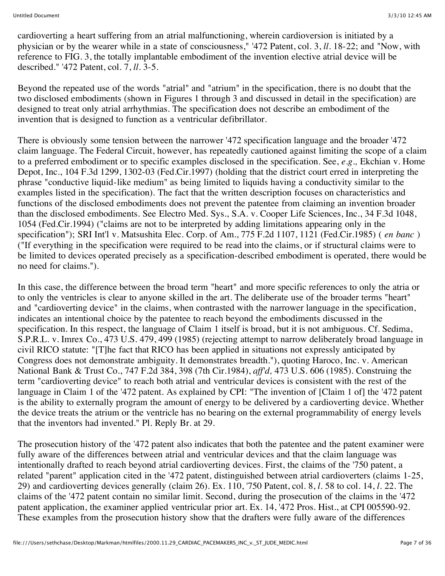cardioverting a heart suffering from an atrial malfunctioning, wherein cardioversion is initiated by a physician or by the wearer while in a state of consciousness," '472 Patent, col. 3, *ll.* 18-22; and "Now, with reference to FIG. 3, the totally implantable embodiment of the invention elective atrial device will be described." '472 Patent, col. 7, *ll.* 3-5.

Beyond the repeated use of the words "atrial" and "atrium" in the specification, there is no doubt that the two disclosed embodiments (shown in Figures 1 through 3 and discussed in detail in the specification) are designed to treat only atrial arrhythmias. The specification does not describe an embodiment of the invention that is designed to function as a ventricular defibrillator.

There is obviously some tension between the narrower '472 specification language and the broader '472 claim language. The Federal Circuit, however, has repeatedly cautioned against limiting the scope of a claim to a preferred embodiment or to specific examples disclosed in the specification. See, *e.g.,* Ekchian v. Home Depot, Inc., 104 F.3d 1299, 1302-03 (Fed.Cir.1997) (holding that the district court erred in interpreting the phrase "conductive liquid-like medium" as being limited to liquids having a conductivity similar to the examples listed in the specification). The fact that the written description focuses on characteristics and functions of the disclosed embodiments does not prevent the patentee from claiming an invention broader than the disclosed embodiments. See Electro Med. Sys., S.A. v. Cooper Life Sciences, Inc., 34 F.3d 1048, 1054 (Fed.Cir.1994) ("claims are not to be interpreted by adding limitations appearing only in the specification"); SRI Int'l v. Matsushita Elec. Corp. of Am., 775 F.2d 1107, 1121 (Fed.Cir.1985) ( *en banc* ) ("If everything in the specification were required to be read into the claims, or if structural claims were to be limited to devices operated precisely as a specification-described embodiment is operated, there would be no need for claims.").

In this case, the difference between the broad term "heart" and more specific references to only the atria or to only the ventricles is clear to anyone skilled in the art. The deliberate use of the broader terms "heart" and "cardioverting device" in the claims, when contrasted with the narrower language in the specification, indicates an intentional choice by the patentee to reach beyond the embodiments discussed in the specification. In this respect, the language of Claim 1 itself is broad, but it is not ambiguous. Cf. Sedima, S.P.R.L. v. Imrex Co., 473 U.S. 479, 499 (1985) (rejecting attempt to narrow deliberately broad language in civil RICO statute: "[T]he fact that RICO has been applied in situations not expressly anticipated by Congress does not demonstrate ambiguity. It demonstrates breadth."), quoting Haroco, Inc. v. American National Bank & Trust Co., 747 F.2d 384, 398 (7th Cir.1984), *aff'd,* 473 U.S. 606 (1985). Construing the term "cardioverting device" to reach both atrial and ventricular devices is consistent with the rest of the language in Claim 1 of the '472 patent. As explained by CPI: "The invention of [Claim 1 of] the '472 patent is the ability to externally program the amount of energy to be delivered by a cardioverting device. Whether the device treats the atrium or the ventricle has no bearing on the external programmability of energy levels that the inventors had invented." Pl. Reply Br. at 29.

The prosecution history of the '472 patent also indicates that both the patentee and the patent examiner were fully aware of the differences between atrial and ventricular devices and that the claim language was intentionally drafted to reach beyond atrial cardioverting devices. First, the claims of the '750 patent, a related "parent" application cited in the '472 patent, distinguished between atrial cardioverters (claims 1-25, 29) and cardioverting devices generally (claim 26). Ex. 110, '750 Patent, col. 8, *l.* 58 to col. 14, *l.* 22. The claims of the '472 patent contain no similar limit. Second, during the prosecution of the claims in the '472 patent application, the examiner applied ventricular prior art. Ex. 14, '472 Pros. Hist., at CPI 005590-92. These examples from the prosecution history show that the drafters were fully aware of the differences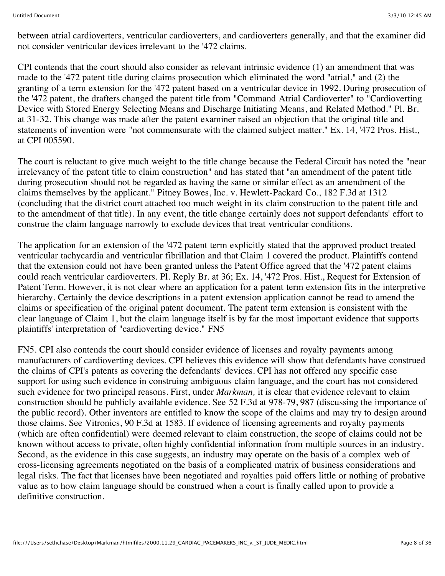between atrial cardioverters, ventricular cardioverters, and cardioverters generally, and that the examiner did not consider ventricular devices irrelevant to the '472 claims.

CPI contends that the court should also consider as relevant intrinsic evidence (1) an amendment that was made to the '472 patent title during claims prosecution which eliminated the word "atrial," and (2) the granting of a term extension for the '472 patent based on a ventricular device in 1992. During prosecution of the '472 patent, the drafters changed the patent title from "Command Atrial Cardioverter" to "Cardioverting Device with Stored Energy Selecting Means and Discharge Initiating Means, and Related Method." Pl. Br. at 31-32. This change was made after the patent examiner raised an objection that the original title and statements of invention were "not commensurate with the claimed subject matter." Ex. 14, '472 Pros. Hist., at CPI 005590.

The court is reluctant to give much weight to the title change because the Federal Circuit has noted the "near irrelevancy of the patent title to claim construction" and has stated that "an amendment of the patent title during prosecution should not be regarded as having the same or similar effect as an amendment of the claims themselves by the applicant." Pitney Bowes, Inc. v. Hewlett-Packard Co., 182 F.3d at 1312 (concluding that the district court attached too much weight in its claim construction to the patent title and to the amendment of that title). In any event, the title change certainly does not support defendants' effort to construe the claim language narrowly to exclude devices that treat ventricular conditions.

The application for an extension of the '472 patent term explicitly stated that the approved product treated ventricular tachycardia and ventricular fibrillation and that Claim 1 covered the product. Plaintiffs contend that the extension could not have been granted unless the Patent Office agreed that the '472 patent claims could reach ventricular cardioverters. Pl. Reply Br. at 36; Ex. 14, '472 Pros. Hist., Request for Extension of Patent Term. However, it is not clear where an application for a patent term extension fits in the interpretive hierarchy. Certainly the device descriptions in a patent extension application cannot be read to amend the claims or specification of the original patent document. The patent term extension is consistent with the clear language of Claim 1, but the claim language itself is by far the most important evidence that supports plaintiffs' interpretation of "cardioverting device." FN5

FN5. CPI also contends the court should consider evidence of licenses and royalty payments among manufacturers of cardioverting devices. CPI believes this evidence will show that defendants have construed the claims of CPI's patents as covering the defendants' devices. CPI has not offered any specific case support for using such evidence in construing ambiguous claim language, and the court has not considered such evidence for two principal reasons. First, under *Markman,* it is clear that evidence relevant to claim construction should be publicly available evidence. See 52 F.3d at 978-79, 987 (discussing the importance of the public record). Other inventors are entitled to know the scope of the claims and may try to design around those claims. See Vitronics, 90 F.3d at 1583. If evidence of licensing agreements and royalty payments (which are often confidential) were deemed relevant to claim construction, the scope of claims could not be known without access to private, often highly confidential information from multiple sources in an industry. Second, as the evidence in this case suggests, an industry may operate on the basis of a complex web of cross-licensing agreements negotiated on the basis of a complicated matrix of business considerations and legal risks. The fact that licenses have been negotiated and royalties paid offers little or nothing of probative value as to how claim language should be construed when a court is finally called upon to provide a definitive construction.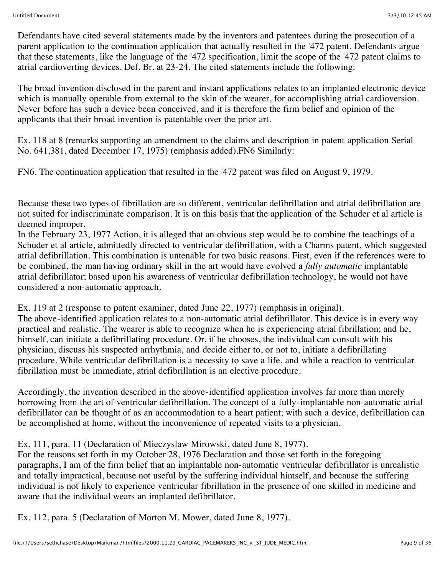Defendants have cited several statements made by the inventors and patentees during the prosecution of a parent application to the continuation application that actually resulted in the '472 patent. Defendants argue that these statements, like the language of the '472 specification, limit the scope of the '472 patent claims to atrial cardioverting devices. Def. Br. at 23-24. The cited statements include the following:

The broad invention disclosed in the parent and instant applications relates to an implanted electronic device which is manually operable from external to the skin of the wearer, for accomplishing atrial cardioversion. Never before has such a device been conceived, and it is therefore the firm belief and opinion of the applicants that their broad invention is patentable over the prior art.

Ex. 118 at 8 (remarks supporting an amendment to the claims and description in patent application Serial No. 641,381, dated December 17, 1975) (emphasis added).FN6 Similarly:

FN6. The continuation application that resulted in the '472 patent was filed on August 9, 1979.

Because these two types of fibrillation are so different, ventricular defibrillation and atrial defibrillation are not suited for indiscriminate comparison. It is on this basis that the application of the Schuder et al article is deemed improper.

In the February 23, 1977 Action, it is alleged that an obvious step would be to combine the teachings of a Schuder et al article, admittedly directed to ventricular defibrillation, with a Charms patent, which suggested atrial defibrillation. This combination is untenable for two basic reasons. First, even if the references were to be combined, the man having ordinary skill in the art would have evolved a *fully automatic* implantable atrial defibrillator; based upon his awareness of ventricular defibrillation technology, he would not have considered a non-automatic approach.

Ex. 119 at 2 (response to patent examiner, dated June 22, 1977) (emphasis in original). The above-identified application relates to a non-automatic atrial defibrillator. This device is in every way practical and realistic. The wearer is able to recognize when he is experiencing atrial fibrillation; and he, himself, can initiate a defibrillating procedure. Or, if he chooses, the individual can consult with his physician, discuss his suspected arrhythmia, and decide either to, or not to, initiate a defibrillating procedure. While ventricular defibrillation is a necessity to save a life, and while a reaction to ventricular fibrillation must be immediate, atrial defibrillation is an elective procedure.

Accordingly, the invention described in the above-identified application involves far more than merely borrowing from the art of ventricular defibrillation. The concept of a fully-implantable non-automatic atrial defibrillator can be thought of as an accommodation to a heart patient; with such a device, defibrillation can be accomplished at home, without the inconvenience of repeated visits to a physician.

Ex. 111, para. 11 (Declaration of Mieczyslaw Mirowski, dated June 8, 1977).

For the reasons set forth in my October 28, 1976 Declaration and those set forth in the foregoing paragraphs, I am of the firm belief that an implantable non-automatic ventricular defibrillator is unrealistic and totally impractical, because not useful by the suffering individual himself, and because the suffering individual is not likely to experience ventricular fibrillation in the presence of one skilled in medicine and aware that the individual wears an implanted defibrillator.

Ex. 112, para. 5 (Declaration of Morton M. Mower, dated June 8, 1977).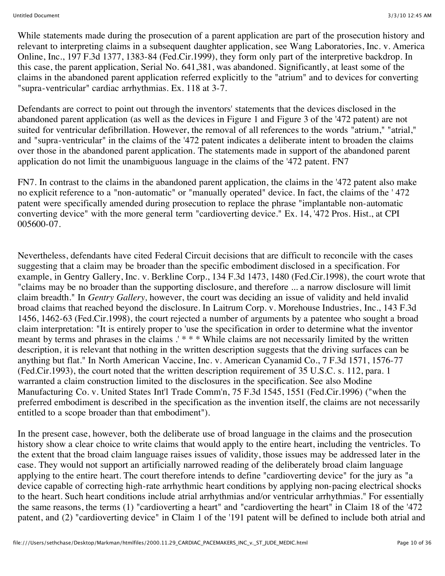While statements made during the prosecution of a parent application are part of the prosecution history and relevant to interpreting claims in a subsequent daughter application, see Wang Laboratories, Inc. v. America Online, Inc., 197 F.3d 1377, 1383-84 (Fed.Cir.1999), they form only part of the interpretive backdrop. In this case, the parent application, Serial No. 641,381, was abandoned. Significantly, at least some of the claims in the abandoned parent application referred explicitly to the "atrium" and to devices for converting "supra-ventricular" cardiac arrhythmias. Ex. 118 at 3-7.

Defendants are correct to point out through the inventors' statements that the devices disclosed in the abandoned parent application (as well as the devices in Figure 1 and Figure 3 of the '472 patent) are not suited for ventricular defibrillation. However, the removal of all references to the words "atrium," "atrial," and "supra-ventricular" in the claims of the '472 patent indicates a deliberate intent to broaden the claims over those in the abandoned parent application. The statements made in support of the abandoned parent application do not limit the unambiguous language in the claims of the '472 patent. FN7

FN7. In contrast to the claims in the abandoned parent application, the claims in the '472 patent also make no explicit reference to a "non-automatic" or "manually operated" device. In fact, the claims of the ' 472 patent were specifically amended during prosecution to replace the phrase "implantable non-automatic converting device" with the more general term "cardioverting device." Ex. 14, '472 Pros. Hist., at CPI 005600-07.

Nevertheless, defendants have cited Federal Circuit decisions that are difficult to reconcile with the cases suggesting that a claim may be broader than the specific embodiment disclosed in a specification. For example, in Gentry Gallery, Inc. v. Berkline Corp., 134 F.3d 1473, 1480 (Fed.Cir.1998), the court wrote that "claims may be no broader than the supporting disclosure, and therefore ... a narrow disclosure will limit claim breadth." In *Gentry Gallery,* however, the court was deciding an issue of validity and held invalid broad claims that reached beyond the disclosure. In Laitrum Corp. v. Morehouse Industries, Inc., 143 F.3d 1456, 1462-63 (Fed.Cir.1998), the court rejected a number of arguments by a patentee who sought a broad claim interpretation: "It is entirely proper to 'use the specification in order to determine what the inventor meant by terms and phrases in the claims .' \* \* \* While claims are not necessarily limited by the written description, it is relevant that nothing in the written description suggests that the driving surfaces can be anything but flat." In North American Vaccine, Inc. v. American Cyanamid Co., 7 F.3d 1571, 1576-77 (Fed.Cir.1993), the court noted that the written description requirement of 35 U.S.C. s. 112, para. 1 warranted a claim construction limited to the disclosures in the specification. See also Modine Manufacturing Co. v. United States Int'l Trade Comm'n, 75 F.3d 1545, 1551 (Fed.Cir.1996) ("when the preferred embodiment is described in the specification as the invention itself, the claims are not necessarily entitled to a scope broader than that embodiment").

In the present case, however, both the deliberate use of broad language in the claims and the prosecution history show a clear choice to write claims that would apply to the entire heart, including the ventricles. To the extent that the broad claim language raises issues of validity, those issues may be addressed later in the case. They would not support an artificially narrowed reading of the deliberately broad claim language applying to the entire heart. The court therefore intends to define "cardioverting device" for the jury as "a device capable of correcting high-rate arrhythmic heart conditions by applying non-pacing electrical shocks to the heart. Such heart conditions include atrial arrhythmias and/or ventricular arrhythmias." For essentially the same reasons, the terms (1) "cardioverting a heart" and "cardioverting the heart" in Claim 18 of the '472 patent, and (2) "cardioverting device" in Claim 1 of the '191 patent will be defined to include both atrial and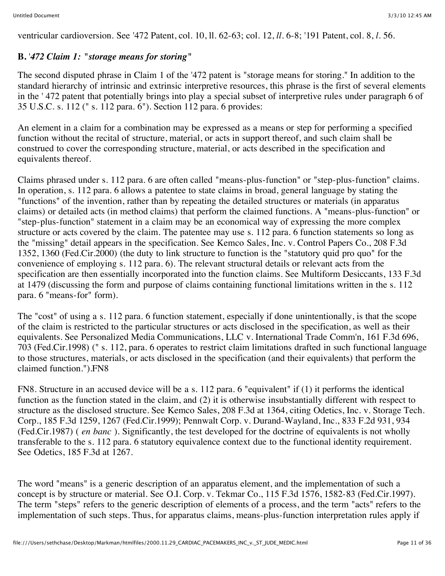ventricular cardioversion. See '472 Patent, col. 10, ll. 62-63; col. 12, *ll.* 6-8; '191 Patent, col. 8, *l.* 56.

## **B.** '*472 Claim 1: "storage means for storing"*

The second disputed phrase in Claim 1 of the '472 patent is "storage means for storing." In addition to the standard hierarchy of intrinsic and extrinsic interpretive resources, this phrase is the first of several elements in the ' 472 patent that potentially brings into play a special subset of interpretive rules under paragraph 6 of 35 U.S.C. s. 112 (" s. 112 para. 6"). Section 112 para. 6 provides:

An element in a claim for a combination may be expressed as a means or step for performing a specified function without the recital of structure, material, or acts in support thereof, and such claim shall be construed to cover the corresponding structure, material, or acts described in the specification and equivalents thereof.

Claims phrased under s. 112 para. 6 are often called "means-plus-function" or "step-plus-function" claims. In operation, s. 112 para. 6 allows a patentee to state claims in broad, general language by stating the "functions" of the invention, rather than by repeating the detailed structures or materials (in apparatus claims) or detailed acts (in method claims) that perform the claimed functions. A "means-plus-function" or "step-plus-function" statement in a claim may be an economical way of expressing the more complex structure or acts covered by the claim. The patentee may use s. 112 para. 6 function statements so long as the "missing" detail appears in the specification. See Kemco Sales, Inc. v. Control Papers Co., 208 F.3d 1352, 1360 (Fed.Cir.2000) (the duty to link structure to function is the "statutory quid pro quo" for the convenience of employing s. 112 para. 6). The relevant structural details or relevant acts from the specification are then essentially incorporated into the function claims. See Multiform Desiccants, 133 F.3d at 1479 (discussing the form and purpose of claims containing functional limitations written in the s. 112 para. 6 "means-for" form).

The "cost" of using a s. 112 para. 6 function statement, especially if done unintentionally, is that the scope of the claim is restricted to the particular structures or acts disclosed in the specification, as well as their equivalents. See Personalized Media Communications, LLC v. International Trade Comm'n, 161 F.3d 696, 703 (Fed.Cir.1998) (" s. 112, para. 6 operates to restrict claim limitations drafted in such functional language to those structures, materials, or acts disclosed in the specification (and their equivalents) that perform the claimed function.").FN8

FN8. Structure in an accused device will be a s. 112 para. 6 "equivalent" if (1) it performs the identical function as the function stated in the claim, and (2) it is otherwise insubstantially different with respect to structure as the disclosed structure. See Kemco Sales, 208 F.3d at 1364, citing Odetics, Inc. v. Storage Tech. Corp., 185 F.3d 1259, 1267 (Fed.Cir.1999); Pennwalt Corp. v. Durand-Wayland, Inc., 833 F.2d 931, 934 (Fed.Cir.1987) ( *en banc* ). Significantly, the test developed for the doctrine of equivalents is not wholly transferable to the s. 112 para. 6 statutory equivalence context due to the functional identity requirement. See Odetics, 185 F.3d at 1267.

The word "means" is a generic description of an apparatus element, and the implementation of such a concept is by structure or material. See O.I. Corp. v. Tekmar Co., 115 F.3d 1576, 1582-83 (Fed.Cir.1997). The term "steps" refers to the generic description of elements of a process, and the term "acts" refers to the implementation of such steps. Thus, for apparatus claims, means-plus-function interpretation rules apply if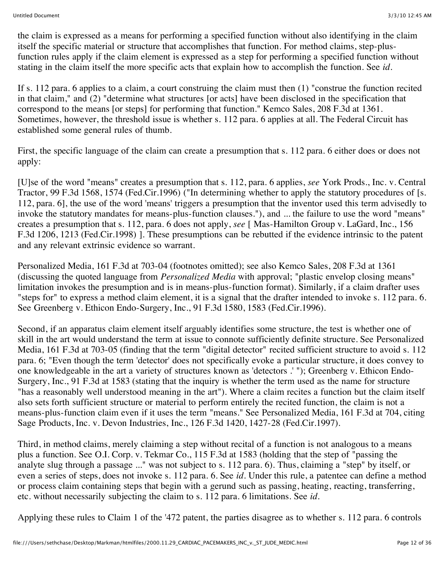the claim is expressed as a means for performing a specified function without also identifying in the claim itself the specific material or structure that accomplishes that function. For method claims, step-plusfunction rules apply if the claim element is expressed as a step for performing a specified function without stating in the claim itself the more specific acts that explain how to accomplish the function. See *id.*

If s. 112 para. 6 applies to a claim, a court construing the claim must then (1) "construe the function recited in that claim," and (2) "determine what structures [or acts] have been disclosed in the specification that correspond to the means [or steps] for performing that function." Kemco Sales, 208 F.3d at 1361. Sometimes, however, the threshold issue is whether s. 112 para. 6 applies at all. The Federal Circuit has established some general rules of thumb.

First, the specific language of the claim can create a presumption that s. 112 para. 6 either does or does not apply:

[U]se of the word "means" creates a presumption that s. 112, para. 6 applies, *see* York Prods., Inc. v. Central Tractor, 99 F.3d 1568, 1574 (Fed.Cir.1996) ("In determining whether to apply the statutory procedures of [s. 112, para. 6], the use of the word 'means' triggers a presumption that the inventor used this term advisedly to invoke the statutory mandates for means-plus-function clauses."), and ... the failure to use the word "means" creates a presumption that s. 112, para. 6 does not apply, *see* [ Mas-Hamilton Group v. LaGard, Inc., 156 F.3d 1206, 1213 (Fed.Cir.1998) ]. These presumptions can be rebutted if the evidence intrinsic to the patent and any relevant extrinsic evidence so warrant.

Personalized Media, 161 F.3d at 703-04 (footnotes omitted); see also Kemco Sales, 208 F.3d at 1361 (discussing the quoted language from *Personalized Media* with approval; "plastic envelop closing means" limitation invokes the presumption and is in means-plus-function format). Similarly, if a claim drafter uses "steps for" to express a method claim element, it is a signal that the drafter intended to invoke s. 112 para. 6. See Greenberg v. Ethicon Endo-Surgery, Inc., 91 F.3d 1580, 1583 (Fed.Cir.1996).

Second, if an apparatus claim element itself arguably identifies some structure, the test is whether one of skill in the art would understand the term at issue to connote sufficiently definite structure. See Personalized Media, 161 F.3d at 703-05 (finding that the term "digital detector" recited sufficient structure to avoid s. 112 para. 6; "Even though the term 'detector' does not specifically evoke a particular structure, it does convey to one knowledgeable in the art a variety of structures known as 'detectors .' "); Greenberg v. Ethicon Endo-Surgery, Inc., 91 F.3d at 1583 (stating that the inquiry is whether the term used as the name for structure "has a reasonably well understood meaning in the art"). Where a claim recites a function but the claim itself also sets forth sufficient structure or material to perform entirely the recited function, the claim is not a means-plus-function claim even if it uses the term "means." See Personalized Media, 161 F.3d at 704, citing Sage Products, Inc. v. Devon Industries, Inc., 126 F.3d 1420, 1427-28 (Fed.Cir.1997).

Third, in method claims, merely claiming a step without recital of a function is not analogous to a means plus a function. See O.I. Corp. v. Tekmar Co., 115 F.3d at 1583 (holding that the step of "passing the analyte slug through a passage ..." was not subject to s. 112 para. 6). Thus, claiming a "step" by itself, or even a series of steps, does not invoke s. 112 para. 6. See *id.* Under this rule, a patentee can define a method or process claim containing steps that begin with a gerund such as passing, heating, reacting, transferring, etc. without necessarily subjecting the claim to s. 112 para. 6 limitations. See *id.*

Applying these rules to Claim 1 of the '472 patent, the parties disagree as to whether s. 112 para. 6 controls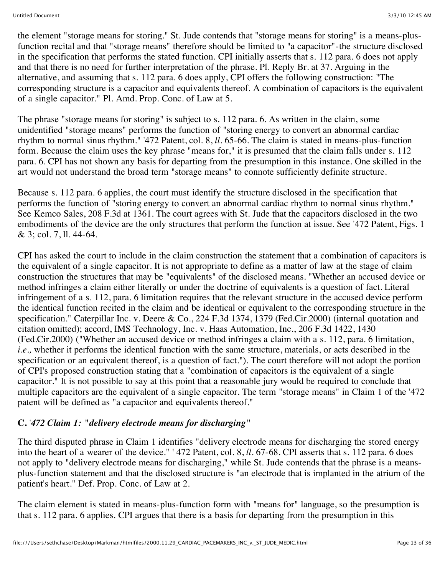the element "storage means for storing." St. Jude contends that "storage means for storing" is a means-plusfunction recital and that "storage means" therefore should be limited to "a capacitor"-the structure disclosed in the specification that performs the stated function. CPI initially asserts that s. 112 para. 6 does not apply and that there is no need for further interpretation of the phrase. Pl. Reply Br. at 37. Arguing in the alternative, and assuming that s. 112 para. 6 does apply, CPI offers the following construction: "The corresponding structure is a capacitor and equivalents thereof. A combination of capacitors is the equivalent of a single capacitor." Pl. Amd. Prop. Conc. of Law at 5.

The phrase "storage means for storing" is subject to s. 112 para. 6. As written in the claim, some unidentified "storage means" performs the function of "storing energy to convert an abnormal cardiac rhythm to normal sinus rhythm." '472 Patent, col. 8, *ll.* 65-66. The claim is stated in means-plus-function form. Because the claim uses the key phrase "means for," it is presumed that the claim falls under s. 112 para. 6. CPI has not shown any basis for departing from the presumption in this instance. One skilled in the art would not understand the broad term "storage means" to connote sufficiently definite structure.

Because s. 112 para. 6 applies, the court must identify the structure disclosed in the specification that performs the function of "storing energy to convert an abnormal cardiac rhythm to normal sinus rhythm." See Kemco Sales, 208 F.3d at 1361. The court agrees with St. Jude that the capacitors disclosed in the two embodiments of the device are the only structures that perform the function at issue. See '472 Patent, Figs. 1 & 3; col. 7, ll. 44-64.

CPI has asked the court to include in the claim construction the statement that a combination of capacitors is the equivalent of a single capacitor. It is not appropriate to define as a matter of law at the stage of claim construction the structures that may be "equivalents" of the disclosed means. "Whether an accused device or method infringes a claim either literally or under the doctrine of equivalents is a question of fact. Literal infringement of a s. 112, para. 6 limitation requires that the relevant structure in the accused device perform the identical function recited in the claim and be identical or equivalent to the corresponding structure in the specification." Caterpillar Inc. v. Deere & Co., 224 F.3d 1374, 1379 (Fed.Cir.2000) (internal quotation and citation omitted); accord, IMS Technology, Inc. v. Haas Automation, Inc., 206 F.3d 1422, 1430 (Fed.Cir.2000) ("Whether an accused device or method infringes a claim with a s. 112, para. 6 limitation, *i.e.,* whether it performs the identical function with the same structure, materials, or acts described in the specification or an equivalent thereof, is a question of fact."). The court therefore will not adopt the portion of CPI's proposed construction stating that a "combination of capacitors is the equivalent of a single capacitor." It is not possible to say at this point that a reasonable jury would be required to conclude that multiple capacitors are the equivalent of a single capacitor. The term "storage means" in Claim 1 of the '472 patent will be defined as "a capacitor and equivalents thereof."

## **C.** '*472 Claim 1: "delivery electrode means for discharging"*

The third disputed phrase in Claim 1 identifies "delivery electrode means for discharging the stored energy into the heart of a wearer of the device." ' 472 Patent, col. 8, *ll.* 67-68. CPI asserts that s. 112 para. 6 does not apply to "delivery electrode means for discharging," while St. Jude contends that the phrase is a meansplus-function statement and that the disclosed structure is "an electrode that is implanted in the atrium of the patient's heart." Def. Prop. Conc. of Law at 2.

The claim element is stated in means-plus-function form with "means for" language, so the presumption is that s. 112 para. 6 applies. CPI argues that there is a basis for departing from the presumption in this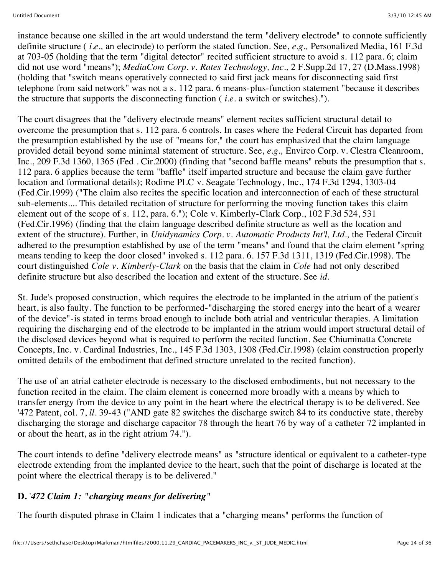instance because one skilled in the art would understand the term "delivery electrode" to connote sufficiently definite structure ( *i.e.,* an electrode) to perform the stated function. See, *e.g.,* Personalized Media, 161 F.3d at 703-05 (holding that the term "digital detector" recited sufficient structure to avoid s. 112 para. 6; claim did not use word "means"); *MediaCom Corp. v. Rates Technology, Inc.,* 2 F.Supp.2d 17, 27 (D.Mass.1998) (holding that "switch means operatively connected to said first jack means for disconnecting said first telephone from said network" was not a s. 112 para. 6 means-plus-function statement "because it describes the structure that supports the disconnecting function ( *i.e.* a switch or switches).").

The court disagrees that the "delivery electrode means" element recites sufficient structural detail to overcome the presumption that s. 112 para. 6 controls. In cases where the Federal Circuit has departed from the presumption established by the use of "means for," the court has emphasized that the claim language provided detail beyond some minimal statement of structure. See, *e.g.,* Envirco Corp. v. Clestra Cleanroom, Inc., 209 F.3d 1360, 1365 (Fed . Cir.2000) (finding that "second baffle means" rebuts the presumption that s. 112 para. 6 applies because the term "baffle" itself imparted structure and because the claim gave further location and formational details); Rodime PLC v. Seagate Technology, Inc., 174 F.3d 1294, 1303-04 (Fed.Cir.1999) ("The claim also recites the specific location and interconnection of each of these structural sub-elements.... This detailed recitation of structure for performing the moving function takes this claim element out of the scope of s. 112, para. 6."); Cole v. Kimberly-Clark Corp., 102 F.3d 524, 531 (Fed.Cir.1996) (finding that the claim language described definite structure as well as the location and extent of the structure). Further, in *Unidynamics Corp. v. Automatic Products Int'l, Ltd.,* the Federal Circuit adhered to the presumption established by use of the term "means" and found that the claim element "spring means tending to keep the door closed" invoked s. 112 para. 6. 157 F.3d 1311, 1319 (Fed.Cir.1998). The court distinguished *Cole v. Kimberly-Clark* on the basis that the claim in *Cole* had not only described definite structure but also described the location and extent of the structure. See *id.*

St. Jude's proposed construction, which requires the electrode to be implanted in the atrium of the patient's heart, is also faulty. The function to be performed-"discharging the stored energy into the heart of a wearer of the device"-is stated in terms broad enough to include both atrial and ventricular therapies. A limitation requiring the discharging end of the electrode to be implanted in the atrium would import structural detail of the disclosed devices beyond what is required to perform the recited function. See Chiuminatta Concrete Concepts, Inc. v. Cardinal Industries, Inc., 145 F.3d 1303, 1308 (Fed.Cir.1998) (claim construction properly omitted details of the embodiment that defined structure unrelated to the recited function).

The use of an atrial catheter electrode is necessary to the disclosed embodiments, but not necessary to the function recited in the claim. The claim element is concerned more broadly with a means by which to transfer energy from the device to any point in the heart where the electrical therapy is to be delivered. See '472 Patent, col. 7, *ll.* 39-43 ("AND gate 82 switches the discharge switch 84 to its conductive state, thereby discharging the storage and discharge capacitor 78 through the heart 76 by way of a catheter 72 implanted in or about the heart, as in the right atrium 74.").

The court intends to define "delivery electrode means" as "structure identical or equivalent to a catheter-type electrode extending from the implanted device to the heart, such that the point of discharge is located at the point where the electrical therapy is to be delivered."

# **D.** '*472 Claim 1: "charging means for delivering"*

The fourth disputed phrase in Claim 1 indicates that a "charging means" performs the function of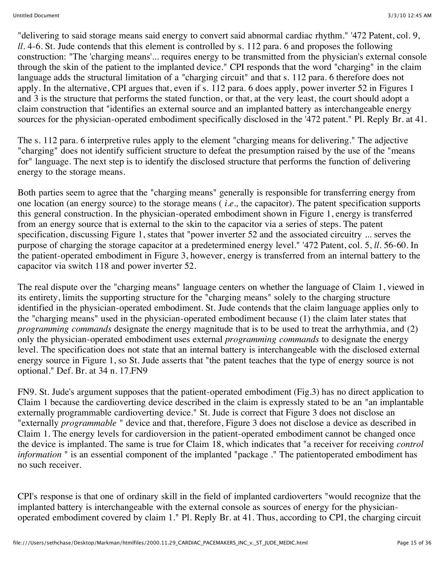"delivering to said storage means said energy to convert said abnormal cardiac rhythm." '472 Patent, col. 9, *ll.* 4-6. St. Jude contends that this element is controlled by s. 112 para. 6 and proposes the following construction: "The 'charging means'... requires energy to be transmitted from the physician's external console through the skin of the patient to the implanted device." CPI responds that the word "charging" in the claim language adds the structural limitation of a "charging circuit" and that s. 112 para. 6 therefore does not apply. In the alternative, CPI argues that, even if s. 112 para. 6 does apply, power inverter 52 in Figures 1 and 3 is the structure that performs the stated function, or that, at the very least, the court should adopt a claim construction that "identifies an external source and an implanted battery as interchangeable energy sources for the physician-operated embodiment specifically disclosed in the '472 patent." Pl. Reply Br. at 41.

The s. 112 para. 6 interpretive rules apply to the element "charging means for delivering." The adjective "charging" does not identify sufficient structure to defeat the presumption raised by the use of the "means for" language. The next step is to identify the disclosed structure that performs the function of delivering energy to the storage means.

Both parties seem to agree that the "charging means" generally is responsible for transferring energy from one location (an energy source) to the storage means ( *i.e.,* the capacitor). The patent specification supports this general construction. In the physician-operated embodiment shown in Figure 1, energy is transferred from an energy source that is external to the skin to the capacitor via a series of steps. The patent specification, discussing Figure 1, states that "power inverter 52 and the associated circuitry ... serves the purpose of charging the storage capacitor at a predetermined energy level." '472 Patent, col. 5, *ll.* 56-60. In the patient-operated embodiment in Figure 3, however, energy is transferred from an internal battery to the capacitor via switch 118 and power inverter 52.

The real dispute over the "charging means" language centers on whether the language of Claim 1, viewed in its entirety, limits the supporting structure for the "charging means" solely to the charging structure identified in the physician-operated embodiment. St. Jude contends that the claim language applies only to the "charging means" used in the physician-operated embodiment because (1) the claim later states that *programming commands* designate the energy magnitude that is to be used to treat the arrhythmia, and (2) only the physician-operated embodiment uses external *programming commands* to designate the energy level. The specification does not state that an internal battery is interchangeable with the disclosed external energy source in Figure 1, so St. Jude asserts that "the patent teaches that the type of energy source is not optional." Def. Br. at 34 n. 17.FN9

FN9. St. Jude's argument supposes that the patient-operated embodiment (Fig.3) has no direct application to Claim 1 because the cardioverting device described in the claim is expressly stated to be an "an implantable externally programmable cardioverting device." St. Jude is correct that Figure 3 does not disclose an "externally *programmable* " device and that, therefore, Figure 3 does not disclose a device as described in Claim 1. The energy levels for cardioversion in the patient-operated embodiment cannot be changed once the device is implanted. The same is true for Claim 18, which indicates that "a receiver for receiving *control information* " is an essential component of the implanted "package ." The patientoperated embodiment has no such receiver.

CPI's response is that one of ordinary skill in the field of implanted cardioverters "would recognize that the implanted battery is interchangeable with the external console as sources of energy for the physicianoperated embodiment covered by claim 1." Pl. Reply Br. at 41. Thus, according to CPI, the charging circuit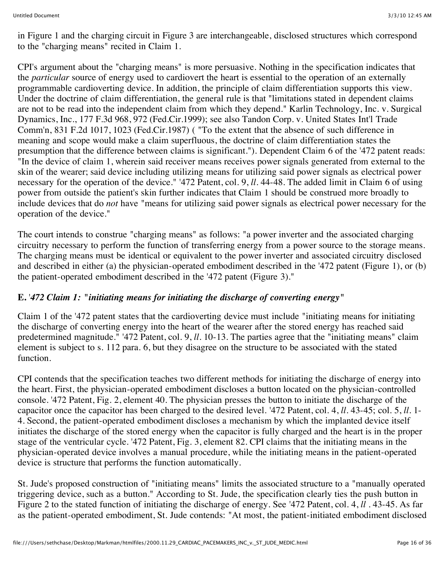in Figure 1 and the charging circuit in Figure 3 are interchangeable, disclosed structures which correspond to the "charging means" recited in Claim 1.

CPI's argument about the "charging means" is more persuasive. Nothing in the specification indicates that the *particular* source of energy used to cardiovert the heart is essential to the operation of an externally programmable cardioverting device. In addition, the principle of claim differentiation supports this view. Under the doctrine of claim differentiation, the general rule is that "limitations stated in dependent claims are not to be read into the independent claim from which they depend." Karlin Technology, Inc. v. Surgical Dynamics, Inc., 177 F.3d 968, 972 (Fed.Cir.1999); see also Tandon Corp. v. United States Int'l Trade Comm'n, 831 F.2d 1017, 1023 (Fed.Cir.1987) ( "To the extent that the absence of such difference in meaning and scope would make a claim superfluous, the doctrine of claim differentiation states the presumption that the difference between claims is significant."). Dependent Claim 6 of the '472 patent reads: "In the device of claim 1, wherein said receiver means receives power signals generated from external to the skin of the wearer; said device including utilizing means for utilizing said power signals as electrical power necessary for the operation of the device." '472 Patent, col. 9, *ll.* 44-48. The added limit in Claim 6 of using power from outside the patient's skin further indicates that Claim 1 should be construed more broadly to include devices that do *not* have "means for utilizing said power signals as electrical power necessary for the operation of the device."

The court intends to construe "charging means" as follows: "a power inverter and the associated charging circuitry necessary to perform the function of transferring energy from a power source to the storage means. The charging means must be identical or equivalent to the power inverter and associated circuitry disclosed and described in either (a) the physician-operated embodiment described in the '472 patent (Figure 1), or (b) the patient-operated embodiment described in the '472 patent (Figure 3)."

#### **E.** '*472 Claim 1: "initiating means for initiating the discharge of converting energy"*

Claim 1 of the '472 patent states that the cardioverting device must include "initiating means for initiating the discharge of converting energy into the heart of the wearer after the stored energy has reached said predetermined magnitude." '472 Patent, col. 9, *ll.* 10-13. The parties agree that the "initiating means" claim element is subject to s. 112 para. 6, but they disagree on the structure to be associated with the stated function.

CPI contends that the specification teaches two different methods for initiating the discharge of energy into the heart. First, the physician-operated embodiment discloses a button located on the physician-controlled console. '472 Patent, Fig. 2, element 40. The physician presses the button to initiate the discharge of the capacitor once the capacitor has been charged to the desired level. '472 Patent, col. 4, *ll.* 43-45; col. 5, *ll.* 1- 4. Second, the patient-operated embodiment discloses a mechanism by which the implanted device itself initiates the discharge of the stored energy when the capacitor is fully charged and the heart is in the proper stage of the ventricular cycle. '472 Patent, Fig. 3, element 82. CPI claims that the initiating means in the physician-operated device involves a manual procedure, while the initiating means in the patient-operated device is structure that performs the function automatically.

St. Jude's proposed construction of "initiating means" limits the associated structure to a "manually operated triggering device, such as a button." According to St. Jude, the specification clearly ties the push button in Figure 2 to the stated function of initiating the discharge of energy. See '472 Patent, col. 4, *ll .* 43-45. As far as the patient-operated embodiment, St. Jude contends: "At most, the patient-initiated embodiment disclosed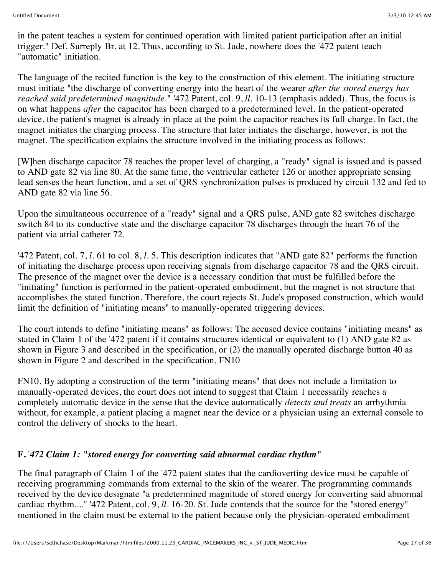in the patent teaches a system for continued operation with limited patient participation after an initial trigger." Def. Surreply Br. at 12. Thus, according to St. Jude, nowhere does the '472 patent teach "automatic" initiation.

The language of the recited function is the key to the construction of this element. The initiating structure must initiate "the discharge of converting energy into the heart of the wearer *after the stored energy has reached said predetermined magnitude.*" '472 Patent, col. 9, *ll.* 10-13 (emphasis added). Thus, the focus is on what happens *after* the capacitor has been charged to a predetermined level. In the patient-operated device, the patient's magnet is already in place at the point the capacitor reaches its full charge. In fact, the magnet initiates the charging process. The structure that later initiates the discharge, however, is not the magnet. The specification explains the structure involved in the initiating process as follows:

[W]hen discharge capacitor 78 reaches the proper level of charging, a "ready" signal is issued and is passed to AND gate 82 via line 80. At the same time, the ventricular catheter 126 or another appropriate sensing lead senses the heart function, and a set of QRS synchronization pulses is produced by circuit 132 and fed to AND gate 82 via line 56.

Upon the simultaneous occurrence of a "ready" signal and a QRS pulse, AND gate 82 switches discharge switch 84 to its conductive state and the discharge capacitor 78 discharges through the heart 76 of the patient via atrial catheter 72.

'472 Patent, col. 7, *l.* 61 to col. 8, *l.* 5. This description indicates that "AND gate 82" performs the function of initiating the discharge process upon receiving signals from discharge capacitor 78 and the QRS circuit. The presence of the magnet over the device is a necessary condition that must be fulfilled before the "initiating" function is performed in the patient-operated embodiment, but the magnet is not structure that accomplishes the stated function. Therefore, the court rejects St. Jude's proposed construction, which would limit the definition of "initiating means" to manually-operated triggering devices.

The court intends to define "initiating means" as follows: The accused device contains "initiating means" as stated in Claim 1 of the '472 patent if it contains structures identical or equivalent to (1) AND gate 82 as shown in Figure 3 and described in the specification, or (2) the manually operated discharge button 40 as shown in Figure 2 and described in the specification. FN10

FN10. By adopting a construction of the term "initiating means" that does not include a limitation to manually-operated devices, the court does not intend to suggest that Claim 1 necessarily reaches a completely automatic device in the sense that the device automatically *detects and treats* an arrhythmia without, for example, a patient placing a magnet near the device or a physician using an external console to control the delivery of shocks to the heart.

## **F.** '*472 Claim 1: "stored energy for converting said abnormal cardiac rhythm"*

The final paragraph of Claim 1 of the '472 patent states that the cardioverting device must be capable of receiving programming commands from external to the skin of the wearer. The programming commands received by the device designate "a predetermined magnitude of stored energy for converting said abnormal cardiac rhythm...." '472 Patent, col. 9, *ll.* 16-20. St. Jude contends that the source for the "stored energy" mentioned in the claim must be external to the patient because only the physician-operated embodiment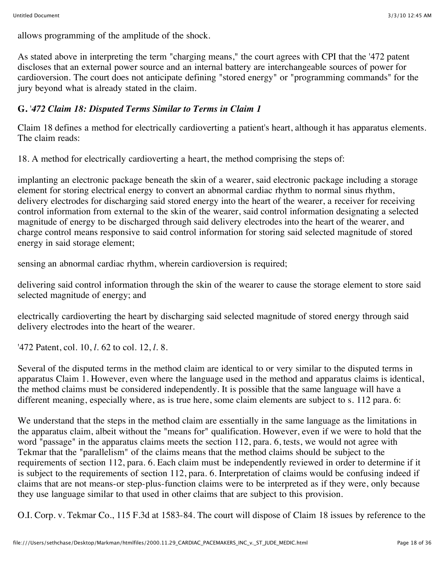allows programming of the amplitude of the shock.

As stated above in interpreting the term "charging means," the court agrees with CPI that the '472 patent discloses that an external power source and an internal battery are interchangeable sources of power for cardioversion. The court does not anticipate defining "stored energy" or "programming commands" for the jury beyond what is already stated in the claim.

## **G.** '*472 Claim 18: Disputed Terms Similar to Terms in Claim 1*

Claim 18 defines a method for electrically cardioverting a patient's heart, although it has apparatus elements. The claim reads:

18. A method for electrically cardioverting a heart, the method comprising the steps of:

implanting an electronic package beneath the skin of a wearer, said electronic package including a storage element for storing electrical energy to convert an abnormal cardiac rhythm to normal sinus rhythm, delivery electrodes for discharging said stored energy into the heart of the wearer, a receiver for receiving control information from external to the skin of the wearer, said control information designating a selected magnitude of energy to be discharged through said delivery electrodes into the heart of the wearer, and charge control means responsive to said control information for storing said selected magnitude of stored energy in said storage element;

sensing an abnormal cardiac rhythm, wherein cardioversion is required;

delivering said control information through the skin of the wearer to cause the storage element to store said selected magnitude of energy; and

electrically cardioverting the heart by discharging said selected magnitude of stored energy through said delivery electrodes into the heart of the wearer.

'472 Patent, col. 10, *l.* 62 to col. 12, *l.* 8.

Several of the disputed terms in the method claim are identical to or very similar to the disputed terms in apparatus Claim 1. However, even where the language used in the method and apparatus claims is identical, the method claims must be considered independently. It is possible that the same language will have a different meaning, especially where, as is true here, some claim elements are subject to s. 112 para. 6:

We understand that the steps in the method claim are essentially in the same language as the limitations in the apparatus claim, albeit without the "means for" qualification. However, even if we were to hold that the word "passage" in the apparatus claims meets the section 112, para. 6, tests, we would not agree with Tekmar that the "parallelism" of the claims means that the method claims should be subject to the requirements of section 112, para. 6. Each claim must be independently reviewed in order to determine if it is subject to the requirements of section 112, para. 6. Interpretation of claims would be confusing indeed if claims that are not means-or step-plus-function claims were to be interpreted as if they were, only because they use language similar to that used in other claims that are subject to this provision.

O.I. Corp. v. Tekmar Co., 115 F.3d at 1583-84. The court will dispose of Claim 18 issues by reference to the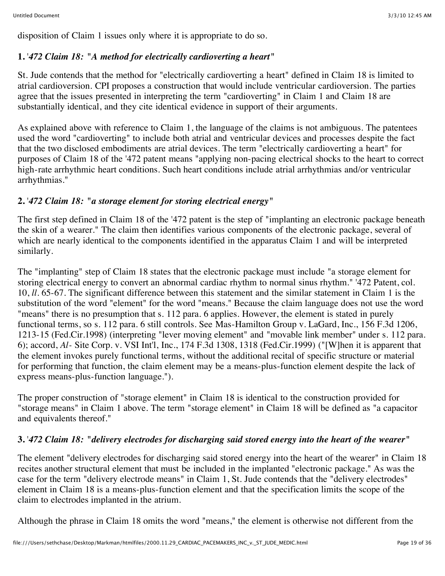disposition of Claim 1 issues only where it is appropriate to do so.

## **1.** '*472 Claim 18: "A method for electrically cardioverting a heart"*

St. Jude contends that the method for "electrically cardioverting a heart" defined in Claim 18 is limited to atrial cardioversion. CPI proposes a construction that would include ventricular cardioversion. The parties agree that the issues presented in interpreting the term "cardioverting" in Claim 1 and Claim 18 are substantially identical, and they cite identical evidence in support of their arguments.

As explained above with reference to Claim 1, the language of the claims is not ambiguous. The patentees used the word "cardioverting" to include both atrial and ventricular devices and processes despite the fact that the two disclosed embodiments are atrial devices. The term "electrically cardioverting a heart" for purposes of Claim 18 of the '472 patent means "applying non-pacing electrical shocks to the heart to correct high-rate arrhythmic heart conditions. Such heart conditions include atrial arrhythmias and/or ventricular arrhythmias."

## **2.** '*472 Claim 18: "a storage element for storing electrical energy"*

The first step defined in Claim 18 of the '472 patent is the step of "implanting an electronic package beneath the skin of a wearer." The claim then identifies various components of the electronic package, several of which are nearly identical to the components identified in the apparatus Claim 1 and will be interpreted similarly.

The "implanting" step of Claim 18 states that the electronic package must include "a storage element for storing electrical energy to convert an abnormal cardiac rhythm to normal sinus rhythm." '472 Patent, col. 10, *ll.* 65-67. The significant difference between this statement and the similar statement in Claim 1 is the substitution of the word "element" for the word "means." Because the claim language does not use the word "means" there is no presumption that s. 112 para. 6 applies. However, the element is stated in purely functional terms, so s. 112 para. 6 still controls. See Mas-Hamilton Group v. LaGard, Inc., 156 F.3d 1206, 1213-15 (Fed.Cir.1998) (interpreting "lever moving element" and "movable link member" under s. 112 para. 6); accord, *Al-* Site Corp. v. VSI Int'l, Inc., 174 F.3d 1308, 1318 (Fed.Cir.1999) ("[W]hen it is apparent that the element invokes purely functional terms, without the additional recital of specific structure or material for performing that function, the claim element may be a means-plus-function element despite the lack of express means-plus-function language.").

The proper construction of "storage element" in Claim 18 is identical to the construction provided for "storage means" in Claim 1 above. The term "storage element" in Claim 18 will be defined as "a capacitor and equivalents thereof."

## **3.** '*472 Claim 18: "delivery electrodes for discharging said stored energy into the heart of the wearer"*

The element "delivery electrodes for discharging said stored energy into the heart of the wearer" in Claim 18 recites another structural element that must be included in the implanted "electronic package." As was the case for the term "delivery electrode means" in Claim 1, St. Jude contends that the "delivery electrodes" element in Claim 18 is a means-plus-function element and that the specification limits the scope of the claim to electrodes implanted in the atrium.

Although the phrase in Claim 18 omits the word "means," the element is otherwise not different from the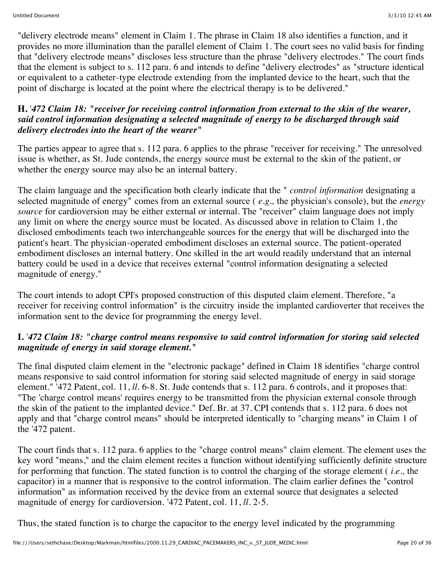"delivery electrode means" element in Claim 1. The phrase in Claim 18 also identifies a function, and it provides no more illumination than the parallel element of Claim 1. The court sees no valid basis for finding that "delivery electrode means" discloses less structure than the phrase "delivery electrodes." The court finds that the element is subject to s. 112 para. 6 and intends to define "delivery electrodes" as "structure identical or equivalent to a catheter-type electrode extending from the implanted device to the heart, such that the point of discharge is located at the point where the electrical therapy is to be delivered."

#### **H.** '*472 Claim 18: "receiver for receiving control information from external to the skin of the wearer, said control information designating a selected magnitude of energy to be discharged through said delivery electrodes into the heart of the wearer"*

The parties appear to agree that s. 112 para. 6 applies to the phrase "receiver for receiving." The unresolved issue is whether, as St. Jude contends, the energy source must be external to the skin of the patient, or whether the energy source may also be an internal battery.

The claim language and the specification both clearly indicate that the " *control information* designating a selected magnitude of energy" comes from an external source ( *e.g.,* the physician's console), but the *energy source* for cardioversion may be either external or internal. The "receiver" claim language does not imply any limit on where the energy source must be located. As discussed above in relation to Claim 1, the disclosed embodiments teach two interchangeable sources for the energy that will be discharged into the patient's heart. The physician-operated embodiment discloses an external source. The patient-operated embodiment discloses an internal battery. One skilled in the art would readily understand that an internal battery could be used in a device that receives external "control information designating a selected magnitude of energy."

The court intends to adopt CPI's proposed construction of this disputed claim element. Therefore, "a receiver for receiving control information" is the circuitry inside the implanted cardioverter that receives the information sent to the device for programming the energy level.

## **I.** '*472 Claim 18: "charge control means responsive to said control information for storing said selected magnitude of energy in said storage element."*

The final disputed claim element in the "electronic package" defined in Claim 18 identifies "charge control means responsive to said control information for storing said selected magnitude of energy in said storage element." '472 Patent, col. 11, *ll.* 6-8. St. Jude contends that s. 112 para. 6 controls, and it proposes that: "The 'charge control means' requires energy to be transmitted from the physician external console through the skin of the patient to the implanted device." Def. Br. at 37. CPI contends that s. 112 para. 6 does not apply and that "charge control means" should be interpreted identically to "charging means" in Claim 1 of the '472 patent.

The court finds that s. 112 para. 6 applies to the "charge control means" claim element. The element uses the key word "means," and the claim element recites a function without identifying sufficiently definite structure for performing that function. The stated function is to control the charging of the storage element ( *i.e.,* the capacitor) in a manner that is responsive to the control information. The claim earlier defines the "control information" as information received by the device from an external source that designates a selected magnitude of energy for cardioversion. '472 Patent, col. 11, *ll.* 2-5.

Thus, the stated function is to charge the capacitor to the energy level indicated by the programming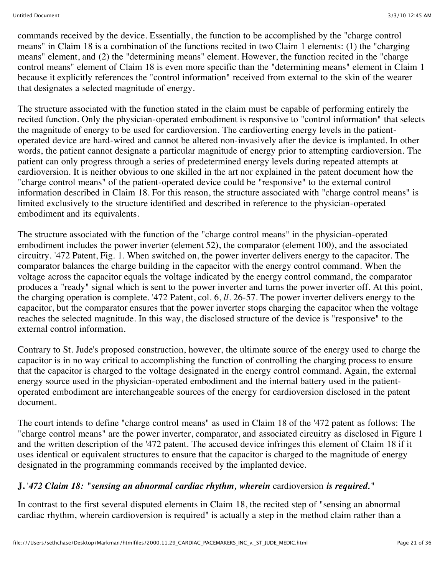commands received by the device. Essentially, the function to be accomplished by the "charge control means" in Claim 18 is a combination of the functions recited in two Claim 1 elements: (1) the "charging means" element, and (2) the "determining means" element. However, the function recited in the "charge control means" element of Claim 18 is even more specific than the "determining means" element in Claim 1 because it explicitly references the "control information" received from external to the skin of the wearer that designates a selected magnitude of energy.

The structure associated with the function stated in the claim must be capable of performing entirely the recited function. Only the physician-operated embodiment is responsive to "control information" that selects the magnitude of energy to be used for cardioversion. The cardioverting energy levels in the patientoperated device are hard-wired and cannot be altered non-invasively after the device is implanted. In other words, the patient cannot designate a particular magnitude of energy prior to attempting cardioversion. The patient can only progress through a series of predetermined energy levels during repeated attempts at cardioversion. It is neither obvious to one skilled in the art nor explained in the patent document how the "charge control means" of the patient-operated device could be "responsive" to the external control information described in Claim 18. For this reason, the structure associated with "charge control means" is limited exclusively to the structure identified and described in reference to the physician-operated embodiment and its equivalents.

The structure associated with the function of the "charge control means" in the physician-operated embodiment includes the power inverter (element 52), the comparator (element 100), and the associated circuitry. '472 Patent, Fig. 1. When switched on, the power inverter delivers energy to the capacitor. The comparator balances the charge building in the capacitor with the energy control command. When the voltage across the capacitor equals the voltage indicated by the energy control command, the comparator produces a "ready" signal which is sent to the power inverter and turns the power inverter off. At this point, the charging operation is complete. '472 Patent, col. 6, *ll.* 26-57. The power inverter delivers energy to the capacitor, but the comparator ensures that the power inverter stops charging the capacitor when the voltage reaches the selected magnitude. In this way, the disclosed structure of the device is "responsive" to the external control information.

Contrary to St. Jude's proposed construction, however, the ultimate source of the energy used to charge the capacitor is in no way critical to accomplishing the function of controlling the charging process to ensure that the capacitor is charged to the voltage designated in the energy control command. Again, the external energy source used in the physician-operated embodiment and the internal battery used in the patientoperated embodiment are interchangeable sources of the energy for cardioversion disclosed in the patent document.

The court intends to define "charge control means" as used in Claim 18 of the '472 patent as follows: The "charge control means" are the power inverter, comparator, and associated circuitry as disclosed in Figure 1 and the written description of the '472 patent. The accused device infringes this element of Claim 18 if it uses identical or equivalent structures to ensure that the capacitor is charged to the magnitude of energy designated in the programming commands received by the implanted device.

## **J.** '*472 Claim 18: "sensing an abnormal cardiac rhythm, wherein* cardioversion *is required."*

In contrast to the first several disputed elements in Claim 18, the recited step of "sensing an abnormal cardiac rhythm, wherein cardioversion is required" is actually a step in the method claim rather than a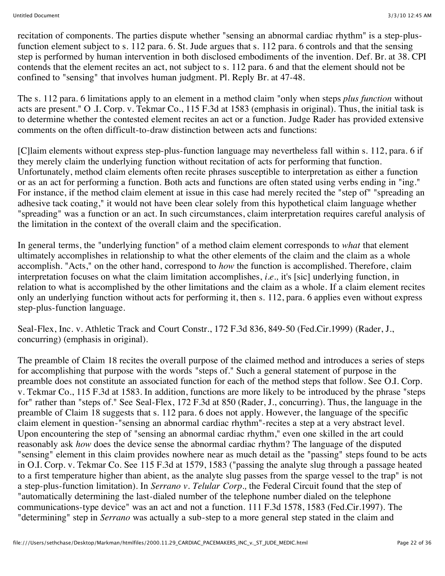recitation of components. The parties dispute whether "sensing an abnormal cardiac rhythm" is a step-plusfunction element subject to s. 112 para. 6. St. Jude argues that s. 112 para. 6 controls and that the sensing step is performed by human intervention in both disclosed embodiments of the invention. Def. Br. at 38. CPI contends that the element recites an act, not subject to s. 112 para. 6 and that the element should not be confined to "sensing" that involves human judgment. Pl. Reply Br. at 47-48.

The s. 112 para. 6 limitations apply to an element in a method claim "only when steps *plus function* without acts are present." O .I. Corp. v. Tekmar Co., 115 F.3d at 1583 (emphasis in original). Thus, the initial task is to determine whether the contested element recites an act or a function. Judge Rader has provided extensive comments on the often difficult-to-draw distinction between acts and functions:

[C]laim elements without express step-plus-function language may nevertheless fall within s. 112, para. 6 if they merely claim the underlying function without recitation of acts for performing that function. Unfortunately, method claim elements often recite phrases susceptible to interpretation as either a function or as an act for performing a function. Both acts and functions are often stated using verbs ending in "ing." For instance, if the method claim element at issue in this case had merely recited the "step of" "spreading an adhesive tack coating," it would not have been clear solely from this hypothetical claim language whether "spreading" was a function or an act. In such circumstances, claim interpretation requires careful analysis of the limitation in the context of the overall claim and the specification.

In general terms, the "underlying function" of a method claim element corresponds to *what* that element ultimately accomplishes in relationship to what the other elements of the claim and the claim as a whole accomplish. "Acts," on the other hand, correspond to *how* the function is accomplished. Therefore, claim interpretation focuses on what the claim limitation accomplishes, *i.e.,* it's [sic] underlying function, in relation to what is accomplished by the other limitations and the claim as a whole. If a claim element recites only an underlying function without acts for performing it, then s. 112, para. 6 applies even without express step-plus-function language.

Seal-Flex, Inc. v. Athletic Track and Court Constr., 172 F.3d 836, 849-50 (Fed.Cir.1999) (Rader, J., concurring) (emphasis in original).

The preamble of Claim 18 recites the overall purpose of the claimed method and introduces a series of steps for accomplishing that purpose with the words "steps of." Such a general statement of purpose in the preamble does not constitute an associated function for each of the method steps that follow. See O.I. Corp. v. Tekmar Co., 115 F.3d at 1583. In addition, functions are more likely to be introduced by the phrase "steps for" rather than "steps of." See Seal-Flex, 172 F.3d at 850 (Rader, J., concurring). Thus, the language in the preamble of Claim 18 suggests that s. 112 para. 6 does not apply. However, the language of the specific claim element in question-"sensing an abnormal cardiac rhythm"-recites a step at a very abstract level. Upon encountering the step of "sensing an abnormal cardiac rhythm," even one skilled in the art could reasonably ask *how* does the device sense the abnormal cardiac rhythm? The language of the disputed "sensing" element in this claim provides nowhere near as much detail as the "passing" steps found to be acts in O.I. Corp. v. Tekmar Co. See 115 F.3d at 1579, 1583 ("passing the analyte slug through a passage heated to a first temperature higher than abient, as the analyte slug passes from the sparge vessel to the trap" is not a step-plus-function limitation). In *Serrano v. Telular Corp.,* the Federal Circuit found that the step of "automatically determining the last-dialed number of the telephone number dialed on the telephone communications-type device" was an act and not a function. 111 F.3d 1578, 1583 (Fed.Cir.1997). The "determining" step in *Serrano* was actually a sub-step to a more general step stated in the claim and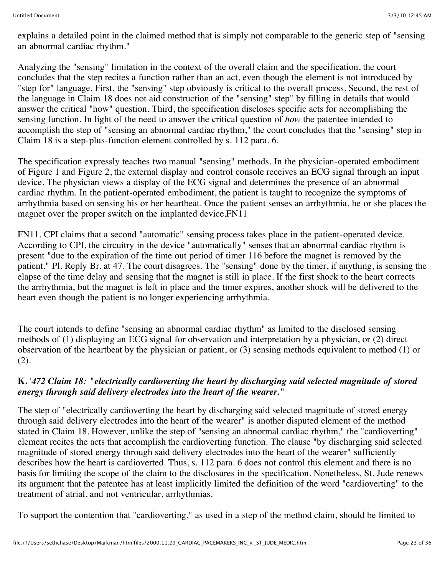explains a detailed point in the claimed method that is simply not comparable to the generic step of "sensing an abnormal cardiac rhythm."

Analyzing the "sensing" limitation in the context of the overall claim and the specification, the court concludes that the step recites a function rather than an act, even though the element is not introduced by "step for" language. First, the "sensing" step obviously is critical to the overall process. Second, the rest of the language in Claim 18 does not aid construction of the "sensing" step" by filling in details that would answer the critical "how" question. Third, the specification discloses specific acts for accomplishing the sensing function. In light of the need to answer the critical question of *how* the patentee intended to accomplish the step of "sensing an abnormal cardiac rhythm," the court concludes that the "sensing" step in Claim 18 is a step-plus-function element controlled by s. 112 para. 6.

The specification expressly teaches two manual "sensing" methods. In the physician-operated embodiment of Figure 1 and Figure 2, the external display and control console receives an ECG signal through an input device. The physician views a display of the ECG signal and determines the presence of an abnormal cardiac rhythm. In the patient-operated embodiment, the patient is taught to recognize the symptoms of arrhythmia based on sensing his or her heartbeat. Once the patient senses an arrhythmia, he or she places the magnet over the proper switch on the implanted device.FN11

FN11. CPI claims that a second "automatic" sensing process takes place in the patient-operated device. According to CPI, the circuitry in the device "automatically" senses that an abnormal cardiac rhythm is present "due to the expiration of the time out period of timer 116 before the magnet is removed by the patient." Pl. Reply Br. at 47. The court disagrees. The "sensing" done by the timer, if anything, is sensing the elapse of the time delay and sensing that the magnet is still in place. If the first shock to the heart corrects the arrhythmia, but the magnet is left in place and the timer expires, another shock will be delivered to the heart even though the patient is no longer experiencing arrhythmia.

The court intends to define "sensing an abnormal cardiac rhythm" as limited to the disclosed sensing methods of (1) displaying an ECG signal for observation and interpretation by a physician, or (2) direct observation of the heartbeat by the physician or patient, or (3) sensing methods equivalent to method (1) or (2).

#### **K.** '*472 Claim 18: "electrically cardioverting the heart by discharging said selected magnitude of stored energy through said delivery electrodes into the heart of the wearer."*

The step of "electrically cardioverting the heart by discharging said selected magnitude of stored energy through said delivery electrodes into the heart of the wearer" is another disputed element of the method stated in Claim 18. However, unlike the step of "sensing an abnormal cardiac rhythm," the "cardioverting" element recites the acts that accomplish the cardioverting function. The clause "by discharging said selected magnitude of stored energy through said delivery electrodes into the heart of the wearer" sufficiently describes how the heart is cardioverted. Thus, s. 112 para. 6 does not control this element and there is no basis for limiting the scope of the claim to the disclosures in the specification. Nonetheless, St. Jude renews its argument that the patentee has at least implicitly limited the definition of the word "cardioverting" to the treatment of atrial, and not ventricular, arrhythmias.

To support the contention that "cardioverting," as used in a step of the method claim, should be limited to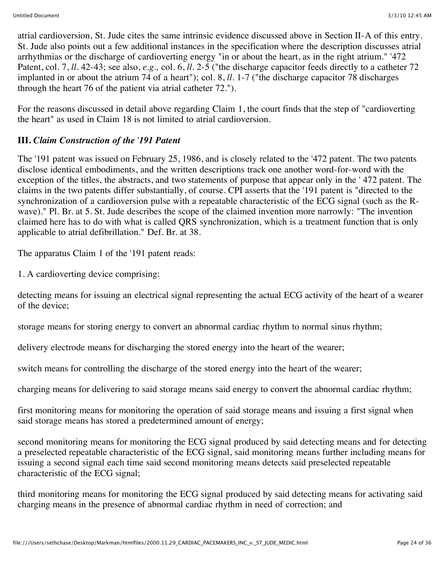atrial cardioversion, St. Jude cites the same intrinsic evidence discussed above in Section II-A of this entry. St. Jude also points out a few additional instances in the specification where the description discusses atrial arrhythmias or the discharge of cardioverting energy "in or about the heart, as in the right atrium." '472 Patent, col. 7, *ll.* 42-43; see also, *e.g.,* col. 6, *ll.* 2-5 ("the discharge capacitor feeds directly to a catheter 72 implanted in or about the atrium 74 of a heart"); col. 8, *ll.* 1-7 ("the discharge capacitor 78 discharges through the heart 76 of the patient via atrial catheter 72.").

For the reasons discussed in detail above regarding Claim 1, the court finds that the step of "cardioverting the heart" as used in Claim 18 is not limited to atrial cardioversion.

## **III.** *Claim Construction of the* '*191 Patent*

The '191 patent was issued on February 25, 1986, and is closely related to the '472 patent. The two patents disclose identical embodiments, and the written descriptions track one another word-for-word with the exception of the titles, the abstracts, and two statements of purpose that appear only in the ' 472 patent. The claims in the two patents differ substantially, of course. CPI asserts that the '191 patent is "directed to the synchronization of a cardioversion pulse with a repeatable characteristic of the ECG signal (such as the Rwave)." Pl. Br. at 5. St. Jude describes the scope of the claimed invention more narrowly: "The invention claimed here has to do with what is called QRS synchronization, which is a treatment function that is only applicable to atrial defibrillation." Def. Br. at 38.

The apparatus Claim 1 of the '191 patent reads:

1. A cardioverting device comprising:

detecting means for issuing an electrical signal representing the actual ECG activity of the heart of a wearer of the device;

storage means for storing energy to convert an abnormal cardiac rhythm to normal sinus rhythm;

delivery electrode means for discharging the stored energy into the heart of the wearer;

switch means for controlling the discharge of the stored energy into the heart of the wearer;

charging means for delivering to said storage means said energy to convert the abnormal cardiac rhythm;

first monitoring means for monitoring the operation of said storage means and issuing a first signal when said storage means has stored a predetermined amount of energy;

second monitoring means for monitoring the ECG signal produced by said detecting means and for detecting a preselected repeatable characteristic of the ECG signal, said monitoring means further including means for issuing a second signal each time said second monitoring means detects said preselected repeatable characteristic of the ECG signal;

third monitoring means for monitoring the ECG signal produced by said detecting means for activating said charging means in the presence of abnormal cardiac rhythm in need of correction; and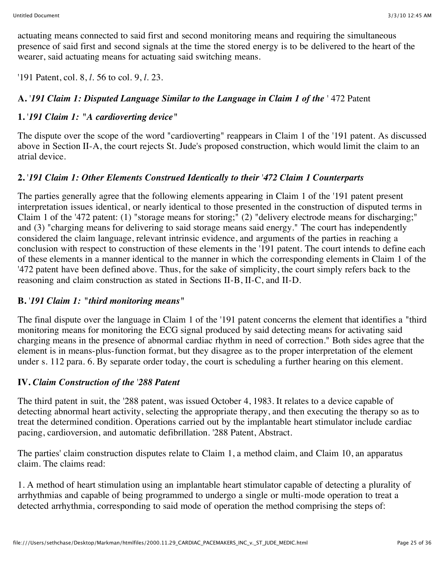actuating means connected to said first and second monitoring means and requiring the simultaneous presence of said first and second signals at the time the stored energy is to be delivered to the heart of the wearer, said actuating means for actuating said switching means.

'191 Patent, col. 8, *l.* 56 to col. 9, *l.* 23.

# **A.** '*191 Claim 1: Disputed Language Similar to the Language in Claim 1 of the* ' 472 Patent

# **1.** '*191 Claim 1: "A cardioverting device"*

The dispute over the scope of the word "cardioverting" reappears in Claim 1 of the '191 patent. As discussed above in Section II-A, the court rejects St. Jude's proposed construction, which would limit the claim to an atrial device.

# **2.** '*191 Claim 1: Other Elements Construed Identically to their* '*472 Claim 1 Counterparts*

The parties generally agree that the following elements appearing in Claim 1 of the '191 patent present interpretation issues identical, or nearly identical to those presented in the construction of disputed terms in Claim 1 of the '472 patent: (1) "storage means for storing;" (2) "delivery electrode means for discharging;" and (3) "charging means for delivering to said storage means said energy." The court has independently considered the claim language, relevant intrinsic evidence, and arguments of the parties in reaching a conclusion with respect to construction of these elements in the '191 patent. The court intends to define each of these elements in a manner identical to the manner in which the corresponding elements in Claim 1 of the '472 patent have been defined above. Thus, for the sake of simplicity, the court simply refers back to the reasoning and claim construction as stated in Sections II-B, II-C, and II-D.

## **B.** '*191 Claim 1: "third monitoring means"*

The final dispute over the language in Claim 1 of the '191 patent concerns the element that identifies a "third monitoring means for monitoring the ECG signal produced by said detecting means for activating said charging means in the presence of abnormal cardiac rhythm in need of correction." Both sides agree that the element is in means-plus-function format, but they disagree as to the proper interpretation of the element under s. 112 para. 6. By separate order today, the court is scheduling a further hearing on this element.

## **IV.** *Claim Construction of the* '*288 Patent*

The third patent in suit, the '288 patent, was issued October 4, 1983. It relates to a device capable of detecting abnormal heart activity, selecting the appropriate therapy, and then executing the therapy so as to treat the determined condition. Operations carried out by the implantable heart stimulator include cardiac pacing, cardioversion, and automatic defibrillation. '288 Patent, Abstract.

The parties' claim construction disputes relate to Claim 1, a method claim, and Claim 10, an apparatus claim. The claims read:

1. A method of heart stimulation using an implantable heart stimulator capable of detecting a plurality of arrhythmias and capable of being programmed to undergo a single or multi-mode operation to treat a detected arrhythmia, corresponding to said mode of operation the method comprising the steps of: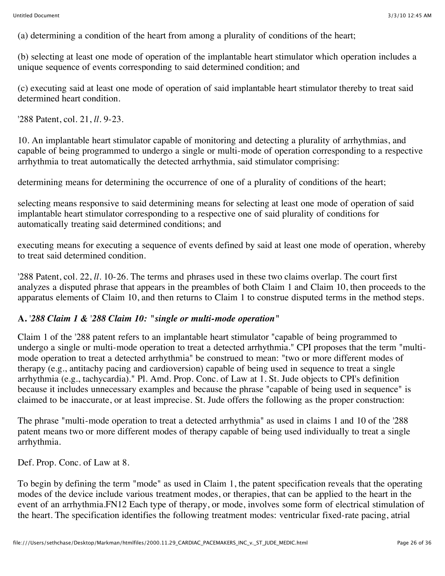(a) determining a condition of the heart from among a plurality of conditions of the heart;

(b) selecting at least one mode of operation of the implantable heart stimulator which operation includes a unique sequence of events corresponding to said determined condition; and

(c) executing said at least one mode of operation of said implantable heart stimulator thereby to treat said determined heart condition.

'288 Patent, col. 21, *ll.* 9-23.

10. An implantable heart stimulator capable of monitoring and detecting a plurality of arrhythmias, and capable of being programmed to undergo a single or multi-mode of operation corresponding to a respective arrhythmia to treat automatically the detected arrhythmia, said stimulator comprising:

determining means for determining the occurrence of one of a plurality of conditions of the heart;

selecting means responsive to said determining means for selecting at least one mode of operation of said implantable heart stimulator corresponding to a respective one of said plurality of conditions for automatically treating said determined conditions; and

executing means for executing a sequence of events defined by said at least one mode of operation, whereby to treat said determined condition.

'288 Patent, col. 22, *ll.* 10-26. The terms and phrases used in these two claims overlap. The court first analyzes a disputed phrase that appears in the preambles of both Claim 1 and Claim 10, then proceeds to the apparatus elements of Claim 10, and then returns to Claim 1 to construe disputed terms in the method steps.

## **A.** '*288 Claim 1 &* '*288 Claim 10: "single or multi-mode operation"*

Claim 1 of the '288 patent refers to an implantable heart stimulator "capable of being programmed to undergo a single or multi-mode operation to treat a detected arrhythmia." CPI proposes that the term "multimode operation to treat a detected arrhythmia" be construed to mean: "two or more different modes of therapy (e.g., antitachy pacing and cardioversion) capable of being used in sequence to treat a single arrhythmia (e.g., tachycardia)." Pl. Amd. Prop. Conc. of Law at 1. St. Jude objects to CPI's definition because it includes unnecessary examples and because the phrase "capable of being used in sequence" is claimed to be inaccurate, or at least imprecise. St. Jude offers the following as the proper construction:

The phrase "multi-mode operation to treat a detected arrhythmia" as used in claims 1 and 10 of the '288 patent means two or more different modes of therapy capable of being used individually to treat a single arrhythmia.

Def. Prop. Conc. of Law at 8.

To begin by defining the term "mode" as used in Claim 1, the patent specification reveals that the operating modes of the device include various treatment modes, or therapies, that can be applied to the heart in the event of an arrhythmia.FN12 Each type of therapy, or mode, involves some form of electrical stimulation of the heart. The specification identifies the following treatment modes: ventricular fixed-rate pacing, atrial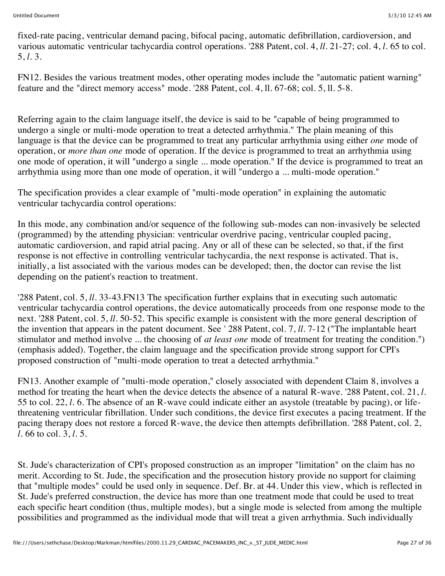fixed-rate pacing, ventricular demand pacing, bifocal pacing, automatic defibrillation, cardioversion, and various automatic ventricular tachycardia control operations. '288 Patent, col. 4, *ll.* 21-27; col. 4, *l.* 65 to col. 5, *l.* 3.

FN12. Besides the various treatment modes, other operating modes include the "automatic patient warning" feature and the "direct memory access" mode. '288 Patent, col. 4, ll. 67-68; col. 5, ll. 5-8.

Referring again to the claim language itself, the device is said to be "capable of being programmed to undergo a single or multi-mode operation to treat a detected arrhythmia." The plain meaning of this language is that the device can be programmed to treat any particular arrhythmia using either *one* mode of operation, or *more than one* mode of operation. If the device is programmed to treat an arrhythmia using one mode of operation, it will "undergo a single ... mode operation." If the device is programmed to treat an arrhythmia using more than one mode of operation, it will "undergo a ... multi-mode operation."

The specification provides a clear example of "multi-mode operation" in explaining the automatic ventricular tachycardia control operations:

In this mode, any combination and/or sequence of the following sub-modes can non-invasively be selected (programmed) by the attending physician: ventricular overdrive pacing, ventricular coupled pacing, automatic cardioversion, and rapid atrial pacing. Any or all of these can be selected, so that, if the first response is not effective in controlling ventricular tachycardia, the next response is activated. That is, initially, a list associated with the various modes can be developed; then, the doctor can revise the list depending on the patient's reaction to treatment.

'288 Patent, col. 5, *ll.* 33-43.FN13 The specification further explains that in executing such automatic ventricular tachycardia control operations, the device automatically proceeds from one response mode to the next. '288 Patent, col. 5, *ll.* 50-52. This specific example is consistent with the more general description of the invention that appears in the patent document. See ' 288 Patent, col. 7, *ll.* 7-12 ("The implantable heart stimulator and method involve ... the choosing of *at least one* mode of treatment for treating the condition.") (emphasis added). Together, the claim language and the specification provide strong support for CPI's proposed construction of "multi-mode operation to treat a detected arrhythmia."

FN13. Another example of "multi-mode operation," closely associated with dependent Claim 8, involves a method for treating the heart when the device detects the absence of a natural R-wave. '288 Patent, col. 21, *l.* 55 to col. 22, *l.* 6. The absence of an R-wave could indicate either an asystole (treatable by pacing), or lifethreatening ventricular fibrillation. Under such conditions, the device first executes a pacing treatment. If the pacing therapy does not restore a forced R-wave, the device then attempts defibrillation. '288 Patent, col. 2, *l.* 66 to col. 3, *l.* 5.

St. Jude's characterization of CPI's proposed construction as an improper "limitation" on the claim has no merit. According to St. Jude, the specification and the prosecution history provide no support for claiming that "multiple modes" could be used only in sequence. Def. Br. at 44. Under this view, which is reflected in St. Jude's preferred construction, the device has more than one treatment mode that could be used to treat each specific heart condition (thus, multiple modes), but a single mode is selected from among the multiple possibilities and programmed as the individual mode that will treat a given arrhythmia. Such individually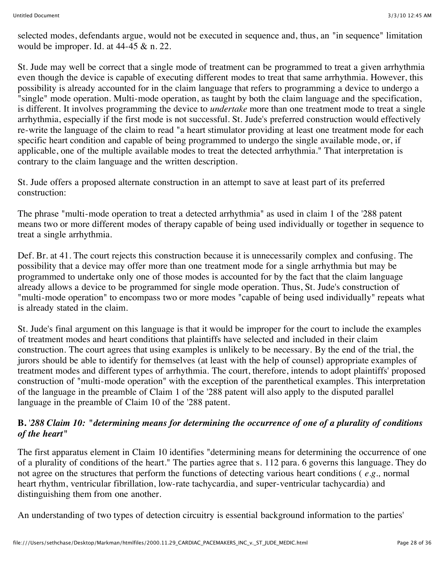selected modes, defendants argue, would not be executed in sequence and, thus, an "in sequence" limitation would be improper. Id. at 44-45 & n. 22.

St. Jude may well be correct that a single mode of treatment can be programmed to treat a given arrhythmia even though the device is capable of executing different modes to treat that same arrhythmia. However, this possibility is already accounted for in the claim language that refers to programming a device to undergo a "single" mode operation. Multi-mode operation, as taught by both the claim language and the specification, is different. It involves programming the device to *undertake* more than one treatment mode to treat a single arrhythmia, especially if the first mode is not successful. St. Jude's preferred construction would effectively re-write the language of the claim to read "a heart stimulator providing at least one treatment mode for each specific heart condition and capable of being programmed to undergo the single available mode, or, if applicable, one of the multiple available modes to treat the detected arrhythmia." That interpretation is contrary to the claim language and the written description.

St. Jude offers a proposed alternate construction in an attempt to save at least part of its preferred construction:

The phrase "multi-mode operation to treat a detected arrhythmia" as used in claim 1 of the '288 patent means two or more different modes of therapy capable of being used individually or together in sequence to treat a single arrhythmia.

Def. Br. at 41. The court rejects this construction because it is unnecessarily complex and confusing. The possibility that a device may offer more than one treatment mode for a single arrhythmia but may be programmed to undertake only one of those modes is accounted for by the fact that the claim language already allows a device to be programmed for single mode operation. Thus, St. Jude's construction of "multi-mode operation" to encompass two or more modes "capable of being used individually" repeats what is already stated in the claim.

St. Jude's final argument on this language is that it would be improper for the court to include the examples of treatment modes and heart conditions that plaintiffs have selected and included in their claim construction. The court agrees that using examples is unlikely to be necessary. By the end of the trial, the jurors should be able to identify for themselves (at least with the help of counsel) appropriate examples of treatment modes and different types of arrhythmia. The court, therefore, intends to adopt plaintiffs' proposed construction of "multi-mode operation" with the exception of the parenthetical examples. This interpretation of the language in the preamble of Claim 1 of the '288 patent will also apply to the disputed parallel language in the preamble of Claim 10 of the '288 patent.

#### **B.** '*288 Claim 10: "determining means for determining the occurrence of one of a plurality of conditions of the heart"*

The first apparatus element in Claim 10 identifies "determining means for determining the occurrence of one of a plurality of conditions of the heart." The parties agree that s. 112 para. 6 governs this language. They do not agree on the structures that perform the functions of detecting various heart conditions ( *e.g.,* normal heart rhythm, ventricular fibrillation, low-rate tachycardia, and super-ventricular tachycardia) and distinguishing them from one another.

An understanding of two types of detection circuitry is essential background information to the parties'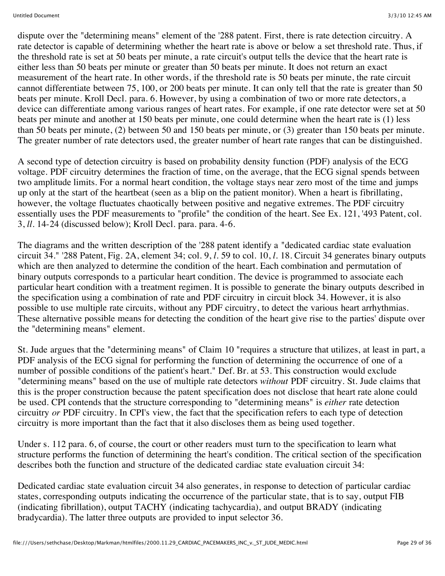dispute over the "determining means" element of the '288 patent. First, there is rate detection circuitry. A rate detector is capable of determining whether the heart rate is above or below a set threshold rate. Thus, if the threshold rate is set at 50 beats per minute, a rate circuit's output tells the device that the heart rate is either less than 50 beats per minute or greater than 50 beats per minute. It does not return an exact measurement of the heart rate. In other words, if the threshold rate is 50 beats per minute, the rate circuit cannot differentiate between 75, 100, or 200 beats per minute. It can only tell that the rate is greater than 50 beats per minute. Kroll Decl. para. 6. However, by using a combination of two or more rate detectors, a device can differentiate among various ranges of heart rates. For example, if one rate detector were set at 50 beats per minute and another at 150 beats per minute, one could determine when the heart rate is (1) less than 50 beats per minute, (2) between 50 and 150 beats per minute, or (3) greater than 150 beats per minute. The greater number of rate detectors used, the greater number of heart rate ranges that can be distinguished.

A second type of detection circuitry is based on probability density function (PDF) analysis of the ECG voltage. PDF circuitry determines the fraction of time, on the average, that the ECG signal spends between two amplitude limits. For a normal heart condition, the voltage stays near zero most of the time and jumps up only at the start of the heartbeat (seen as a blip on the patient monitor). When a heart is fibrillating, however, the voltage fluctuates chaotically between positive and negative extremes. The PDF circuitry essentially uses the PDF measurements to "profile" the condition of the heart. See Ex. 121, '493 Patent, col. 3, *ll.* 14-24 (discussed below); Kroll Decl. para. para. 4-6.

The diagrams and the written description of the '288 patent identify a "dedicated cardiac state evaluation circuit 34." '288 Patent, Fig. 2A, element 34; col. 9, *l.* 59 to col. 10, *l.* 18. Circuit 34 generates binary outputs which are then analyzed to determine the condition of the heart. Each combination and permutation of binary outputs corresponds to a particular heart condition. The device is programmed to associate each particular heart condition with a treatment regimen. It is possible to generate the binary outputs described in the specification using a combination of rate and PDF circuitry in circuit block 34. However, it is also possible to use multiple rate circuits, without any PDF circuitry, to detect the various heart arrhythmias. These alternative possible means for detecting the condition of the heart give rise to the parties' dispute over the "determining means" element.

St. Jude argues that the "determining means" of Claim 10 "requires a structure that utilizes, at least in part, a PDF analysis of the ECG signal for performing the function of determining the occurrence of one of a number of possible conditions of the patient's heart." Def. Br. at 53. This construction would exclude "determining means" based on the use of multiple rate detectors *without* PDF circuitry. St. Jude claims that this is the proper construction because the patent specification does not disclose that heart rate alone could be used. CPI contends that the structure corresponding to "determining means" is *either* rate detection circuitry *or* PDF circuitry. In CPI's view, the fact that the specification refers to each type of detection circuitry is more important than the fact that it also discloses them as being used together.

Under s. 112 para. 6, of course, the court or other readers must turn to the specification to learn what structure performs the function of determining the heart's condition. The critical section of the specification describes both the function and structure of the dedicated cardiac state evaluation circuit 34:

Dedicated cardiac state evaluation circuit 34 also generates, in response to detection of particular cardiac states, corresponding outputs indicating the occurrence of the particular state, that is to say, output FIB (indicating fibrillation), output TACHY (indicating tachycardia), and output BRADY (indicating bradycardia). The latter three outputs are provided to input selector 36.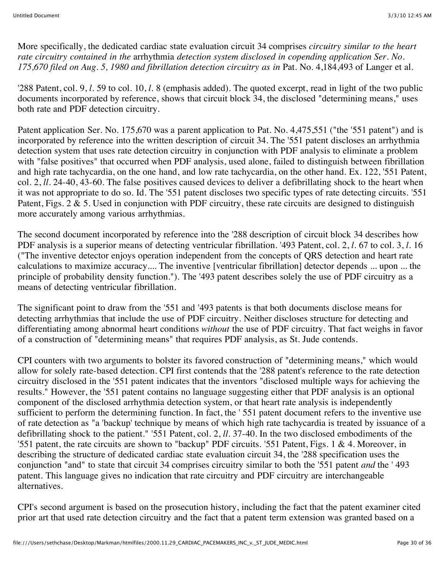More specifically, the dedicated cardiac state evaluation circuit 34 comprises *circuitry similar to the heart rate circuitry contained in the* arrhythmia *detection system disclosed in copending application Ser. No. 175,670 filed on Aug. 5, 1980 and fibrillation detection circuitry as in* Pat. No. 4,184,493 of Langer et al.

'288 Patent, col. 9, *l.* 59 to col. 10, *l.* 8 (emphasis added). The quoted excerpt, read in light of the two public documents incorporated by reference, shows that circuit block 34, the disclosed "determining means," uses both rate and PDF detection circuitry.

Patent application Ser. No. 175,670 was a parent application to Pat. No. 4,475,551 ("the '551 patent") and is incorporated by reference into the written description of circuit 34. The '551 patent discloses an arrhythmia detection system that uses rate detection circuitry in conjunction with PDF analysis to eliminate a problem with "false positives" that occurred when PDF analysis, used alone, failed to distinguish between fibrillation and high rate tachycardia, on the one hand, and low rate tachycardia, on the other hand. Ex. 122, '551 Patent, col. 2, *ll.* 24-40, 43-60. The false positives caused devices to deliver a defibrillating shock to the heart when it was not appropriate to do so. Id. The '551 patent discloses two specific types of rate detecting circuits. '551 Patent, Figs.  $2 \& 5$ . Used in conjunction with PDF circuitry, these rate circuits are designed to distinguish more accurately among various arrhythmias.

The second document incorporated by reference into the '288 description of circuit block 34 describes how PDF analysis is a superior means of detecting ventricular fibrillation. '493 Patent, col. 2, *l.* 67 to col. 3, *l.* 16 ("The inventive detector enjoys operation independent from the concepts of QRS detection and heart rate calculations to maximize accuracy.... The inventive [ventricular fibrillation] detector depends ... upon ... the principle of probability density function."). The '493 patent describes solely the use of PDF circuitry as a means of detecting ventricular fibrillation.

The significant point to draw from the '551 and '493 patents is that both documents disclose means for detecting arrhythmias that include the use of PDF circuitry. Neither discloses structure for detecting and differentiating among abnormal heart conditions *without* the use of PDF circuitry. That fact weighs in favor of a construction of "determining means" that requires PDF analysis, as St. Jude contends.

CPI counters with two arguments to bolster its favored construction of "determining means," which would allow for solely rate-based detection. CPI first contends that the '288 patent's reference to the rate detection circuitry disclosed in the '551 patent indicates that the inventors "disclosed multiple ways for achieving the results." However, the '551 patent contains no language suggesting either that PDF analysis is an optional component of the disclosed arrhythmia detection system, or that heart rate analysis is independently sufficient to perform the determining function. In fact, the '551 patent document refers to the inventive use of rate detection as "a 'backup' technique by means of which high rate tachycardia is treated by issuance of a defibrillating shock to the patient." '551 Patent, col. 2, *ll.* 37-40. In the two disclosed embodiments of the '551 patent, the rate circuits are shown to "backup" PDF circuits. '551 Patent, Figs. 1 & 4. Moreover, in describing the structure of dedicated cardiac state evaluation circuit 34, the '288 specification uses the conjunction "and" to state that circuit 34 comprises circuitry similar to both the '551 patent *and* the ' 493 patent. This language gives no indication that rate circuitry and PDF circuitry are interchangeable alternatives.

CPI's second argument is based on the prosecution history, including the fact that the patent examiner cited prior art that used rate detection circuitry and the fact that a patent term extension was granted based on a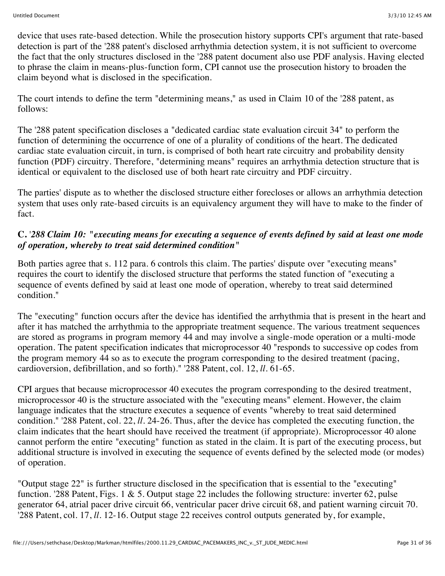device that uses rate-based detection. While the prosecution history supports CPI's argument that rate-based detection is part of the '288 patent's disclosed arrhythmia detection system, it is not sufficient to overcome the fact that the only structures disclosed in the '288 patent document also use PDF analysis. Having elected to phrase the claim in means-plus-function form, CPI cannot use the prosecution history to broaden the claim beyond what is disclosed in the specification.

The court intends to define the term "determining means," as used in Claim 10 of the '288 patent, as follows:

The '288 patent specification discloses a "dedicated cardiac state evaluation circuit 34" to perform the function of determining the occurrence of one of a plurality of conditions of the heart. The dedicated cardiac state evaluation circuit, in turn, is comprised of both heart rate circuitry and probability density function (PDF) circuitry. Therefore, "determining means" requires an arrhythmia detection structure that is identical or equivalent to the disclosed use of both heart rate circuitry and PDF circuitry.

The parties' dispute as to whether the disclosed structure either forecloses or allows an arrhythmia detection system that uses only rate-based circuits is an equivalency argument they will have to make to the finder of fact.

#### **C.** '*288 Claim 10: "executing means for executing a sequence of events defined by said at least one mode of operation, whereby to treat said determined condition"*

Both parties agree that s. 112 para. 6 controls this claim. The parties' dispute over "executing means" requires the court to identify the disclosed structure that performs the stated function of "executing a sequence of events defined by said at least one mode of operation, whereby to treat said determined condition."

The "executing" function occurs after the device has identified the arrhythmia that is present in the heart and after it has matched the arrhythmia to the appropriate treatment sequence. The various treatment sequences are stored as programs in program memory 44 and may involve a single-mode operation or a multi-mode operation. The patent specification indicates that microprocessor 40 "responds to successive op codes from the program memory 44 so as to execute the program corresponding to the desired treatment (pacing, cardioversion, defibrillation, and so forth)." '288 Patent, col. 12, *ll.* 61-65.

CPI argues that because microprocessor 40 executes the program corresponding to the desired treatment, microprocessor 40 is the structure associated with the "executing means" element. However, the claim language indicates that the structure executes a sequence of events "whereby to treat said determined condition." '288 Patent, col. 22, *ll.* 24-26. Thus, after the device has completed the executing function, the claim indicates that the heart should have received the treatment (if appropriate). Microprocessor 40 alone cannot perform the entire "executing" function as stated in the claim. It is part of the executing process, but additional structure is involved in executing the sequence of events defined by the selected mode (or modes) of operation.

"Output stage 22" is further structure disclosed in the specification that is essential to the "executing" function. '288 Patent, Figs. 1  $\&$  5. Output stage 22 includes the following structure: inverter 62, pulse generator 64, atrial pacer drive circuit 66, ventricular pacer drive circuit 68, and patient warning circuit 70. '288 Patent, col. 17, *ll.* 12-16. Output stage 22 receives control outputs generated by, for example,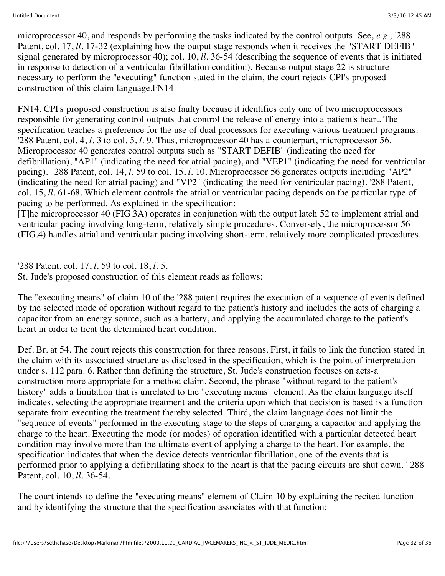microprocessor 40, and responds by performing the tasks indicated by the control outputs. See, *e.g.,* '288 Patent, col. 17, *ll.* 17-32 (explaining how the output stage responds when it receives the "START DEFIB" signal generated by microprocessor 40); col. 10, *ll.* 36-54 (describing the sequence of events that is initiated in response to detection of a ventricular fibrillation condition). Because output stage 22 is structure necessary to perform the "executing" function stated in the claim, the court rejects CPI's proposed construction of this claim language.FN14

FN14. CPI's proposed construction is also faulty because it identifies only one of two microprocessors responsible for generating control outputs that control the release of energy into a patient's heart. The specification teaches a preference for the use of dual processors for executing various treatment programs. '288 Patent, col. 4, *l.* 3 to col. 5, *l.* 9. Thus, microprocessor 40 has a counterpart, microprocessor 56. Microprocessor 40 generates control outputs such as "START DEFIB" (indicating the need for defibrillation), "AP1" (indicating the need for atrial pacing), and "VEP1" (indicating the need for ventricular pacing). ' 288 Patent, col. 14, *l.* 59 to col. 15, *l.* 10. Microprocessor 56 generates outputs including "AP2" (indicating the need for atrial pacing) and "VP2" (indicating the need for ventricular pacing). '288 Patent, col. 15, *ll.* 61-68. Which element controls the atrial or ventricular pacing depends on the particular type of pacing to be performed. As explained in the specification:

[T]he microprocessor 40 (FIG.3A) operates in conjunction with the output latch 52 to implement atrial and ventricular pacing involving long-term, relatively simple procedures. Conversely, the microprocessor 56 (FIG.4) handles atrial and ventricular pacing involving short-term, relatively more complicated procedures.

'288 Patent, col. 17, *l.* 59 to col. 18, *l.* 5.

St. Jude's proposed construction of this element reads as follows:

The "executing means" of claim 10 of the '288 patent requires the execution of a sequence of events defined by the selected mode of operation without regard to the patient's history and includes the acts of charging a capacitor from an energy source, such as a battery, and applying the accumulated charge to the patient's heart in order to treat the determined heart condition.

Def. Br. at 54. The court rejects this construction for three reasons. First, it fails to link the function stated in the claim with its associated structure as disclosed in the specification, which is the point of interpretation under s. 112 para. 6. Rather than defining the structure, St. Jude's construction focuses on acts-a construction more appropriate for a method claim. Second, the phrase "without regard to the patient's history" adds a limitation that is unrelated to the "executing means" element. As the claim language itself indicates, selecting the appropriate treatment and the criteria upon which that decision is based is a function separate from executing the treatment thereby selected. Third, the claim language does not limit the "sequence of events" performed in the executing stage to the steps of charging a capacitor and applying the charge to the heart. Executing the mode (or modes) of operation identified with a particular detected heart condition may involve more than the ultimate event of applying a charge to the heart. For example, the specification indicates that when the device detects ventricular fibrillation, one of the events that is performed prior to applying a defibrillating shock to the heart is that the pacing circuits are shut down. ' 288 Patent, col. 10, *ll.* 36-54.

The court intends to define the "executing means" element of Claim 10 by explaining the recited function and by identifying the structure that the specification associates with that function: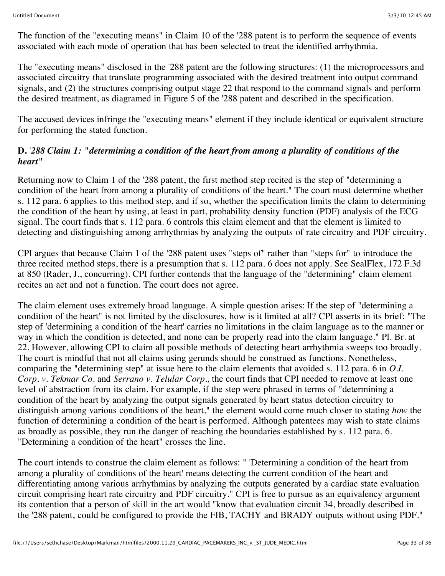The function of the "executing means" in Claim 10 of the '288 patent is to perform the sequence of events associated with each mode of operation that has been selected to treat the identified arrhythmia.

The "executing means" disclosed in the '288 patent are the following structures: (1) the microprocessors and associated circuitry that translate programming associated with the desired treatment into output command signals, and (2) the structures comprising output stage 22 that respond to the command signals and perform the desired treatment, as diagramed in Figure 5 of the '288 patent and described in the specification.

The accused devices infringe the "executing means" element if they include identical or equivalent structure for performing the stated function.

#### **D.** '*288 Claim 1: "determining a condition of the heart from among a plurality of conditions of the heart"*

Returning now to Claim 1 of the '288 patent, the first method step recited is the step of "determining a condition of the heart from among a plurality of conditions of the heart." The court must determine whether s. 112 para. 6 applies to this method step, and if so, whether the specification limits the claim to determining the condition of the heart by using, at least in part, probability density function (PDF) analysis of the ECG signal. The court finds that s. 112 para. 6 controls this claim element and that the element is limited to detecting and distinguishing among arrhythmias by analyzing the outputs of rate circuitry and PDF circuitry.

CPI argues that because Claim 1 of the '288 patent uses "steps of" rather than "steps for" to introduce the three recited method steps, there is a presumption that s. 112 para. 6 does not apply. See SealFlex, 172 F.3d at 850 (Rader, J., concurring). CPI further contends that the language of the "determining" claim element recites an act and not a function. The court does not agree.

The claim element uses extremely broad language. A simple question arises: If the step of "determining a condition of the heart" is not limited by the disclosures, how is it limited at all? CPI asserts in its brief: "The step of 'determining a condition of the heart' carries no limitations in the claim language as to the manner or way in which the condition is detected, and none can be properly read into the claim language." Pl. Br. at 22. However, allowing CPI to claim all possible methods of detecting heart arrhythmia sweeps too broadly. The court is mindful that not all claims using gerunds should be construed as functions. Nonetheless, comparing the "determining step" at issue here to the claim elements that avoided s. 112 para. 6 in *O.I. Corp. v. Tekmar Co.* and *Serrano v. Telular Corp.,* the court finds that CPI needed to remove at least one level of abstraction from its claim. For example, if the step were phrased in terms of "determining a condition of the heart by analyzing the output signals generated by heart status detection circuitry to distinguish among various conditions of the heart," the element would come much closer to stating *how* the function of determining a condition of the heart is performed. Although patentees may wish to state claims as broadly as possible, they run the danger of reaching the boundaries established by s. 112 para. 6. "Determining a condition of the heart" crosses the line.

The court intends to construe the claim element as follows: " 'Determining a condition of the heart from among a plurality of conditions of the heart' means detecting the current condition of the heart and differentiating among various arrhythmias by analyzing the outputs generated by a cardiac state evaluation circuit comprising heart rate circuitry and PDF circuitry." CPI is free to pursue as an equivalency argument its contention that a person of skill in the art would "know that evaluation circuit 34, broadly described in the '288 patent, could be configured to provide the FIB, TACHY and BRADY outputs without using PDF."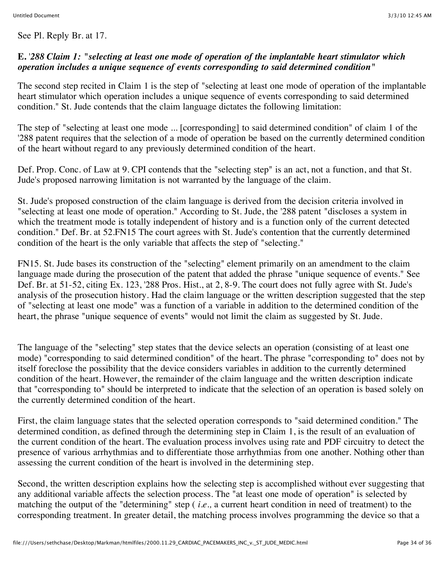See Pl. Reply Br. at 17.

#### **E.** '*288 Claim 1: "selecting at least one mode of operation of the implantable heart stimulator which operation includes a unique sequence of events corresponding to said determined condition"*

The second step recited in Claim 1 is the step of "selecting at least one mode of operation of the implantable heart stimulator which operation includes a unique sequence of events corresponding to said determined condition." St. Jude contends that the claim language dictates the following limitation:

The step of "selecting at least one mode ... [corresponding] to said determined condition" of claim 1 of the '288 patent requires that the selection of a mode of operation be based on the currently determined condition of the heart without regard to any previously determined condition of the heart.

Def. Prop. Conc. of Law at 9. CPI contends that the "selecting step" is an act, not a function, and that St. Jude's proposed narrowing limitation is not warranted by the language of the claim.

St. Jude's proposed construction of the claim language is derived from the decision criteria involved in "selecting at least one mode of operation." According to St. Jude, the '288 patent "discloses a system in which the treatment mode is totally independent of history and is a function only of the current detected condition." Def. Br. at 52.FN15 The court agrees with St. Jude's contention that the currently determined condition of the heart is the only variable that affects the step of "selecting."

FN15. St. Jude bases its construction of the "selecting" element primarily on an amendment to the claim language made during the prosecution of the patent that added the phrase "unique sequence of events." See Def. Br. at 51-52, citing Ex. 123, '288 Pros. Hist., at 2, 8-9. The court does not fully agree with St. Jude's analysis of the prosecution history. Had the claim language or the written description suggested that the step of "selecting at least one mode" was a function of a variable in addition to the determined condition of the heart, the phrase "unique sequence of events" would not limit the claim as suggested by St. Jude.

The language of the "selecting" step states that the device selects an operation (consisting of at least one mode) "corresponding to said determined condition" of the heart. The phrase "corresponding to" does not by itself foreclose the possibility that the device considers variables in addition to the currently determined condition of the heart. However, the remainder of the claim language and the written description indicate that "corresponding to" should be interpreted to indicate that the selection of an operation is based solely on the currently determined condition of the heart.

First, the claim language states that the selected operation corresponds to "said determined condition." The determined condition, as defined through the determining step in Claim 1, is the result of an evaluation of the current condition of the heart. The evaluation process involves using rate and PDF circuitry to detect the presence of various arrhythmias and to differentiate those arrhythmias from one another. Nothing other than assessing the current condition of the heart is involved in the determining step.

Second, the written description explains how the selecting step is accomplished without ever suggesting that any additional variable affects the selection process. The "at least one mode of operation" is selected by matching the output of the "determining" step ( *i.e.,* a current heart condition in need of treatment) to the corresponding treatment. In greater detail, the matching process involves programming the device so that a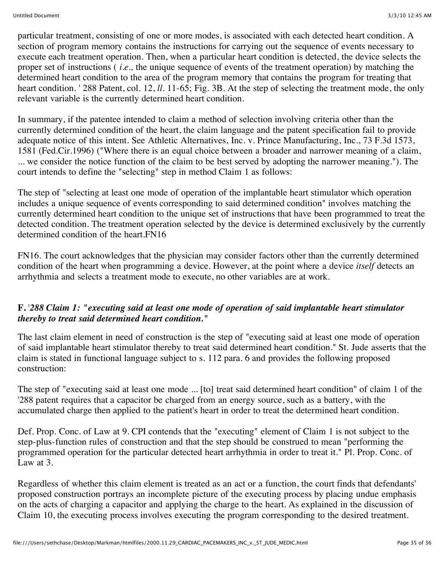particular treatment, consisting of one or more modes, is associated with each detected heart condition. A section of program memory contains the instructions for carrying out the sequence of events necessary to execute each treatment operation. Then, when a particular heart condition is detected, the device selects the proper set of instructions ( *i.e.,* the unique sequence of events of the treatment operation) by matching the determined heart condition to the area of the program memory that contains the program for treating that heart condition. ' 288 Patent, col. 12, *ll.* 11-65; Fig. 3B. At the step of selecting the treatment mode, the only relevant variable is the currently determined heart condition.

In summary, if the patentee intended to claim a method of selection involving criteria other than the currently determined condition of the heart, the claim language and the patent specification fail to provide adequate notice of this intent. See Athletic Alternatives, Inc. v. Prince Manufacturing, Inc., 73 F.3d 1573, 1581 (Fed.Cir.1996) ("Where there is an equal choice between a broader and narrower meaning of a claim, ... we consider the notice function of the claim to be best served by adopting the narrower meaning."). The court intends to define the "selecting" step in method Claim 1 as follows:

The step of "selecting at least one mode of operation of the implantable heart stimulator which operation includes a unique sequence of events corresponding to said determined condition" involves matching the currently determined heart condition to the unique set of instructions that have been programmed to treat the detected condition. The treatment operation selected by the device is determined exclusively by the currently determined condition of the heart.FN16

FN16. The court acknowledges that the physician may consider factors other than the currently determined condition of the heart when programming a device. However, at the point where a device *itself* detects an arrhythmia and selects a treatment mode to execute, no other variables are at work.

#### **F.** '*288 Claim 1: "executing said at least one mode of operation of said implantable heart stimulator thereby to treat said determined heart condition."*

The last claim element in need of construction is the step of "executing said at least one mode of operation of said implantable heart stimulator thereby to treat said determined heart condition." St. Jude asserts that the claim is stated in functional language subject to s. 112 para. 6 and provides the following proposed construction:

The step of "executing said at least one mode ... [to] treat said determined heart condition" of claim 1 of the '288 patent requires that a capacitor be charged from an energy source, such as a battery, with the accumulated charge then applied to the patient's heart in order to treat the determined heart condition.

Def. Prop. Conc. of Law at 9. CPI contends that the "executing" element of Claim 1 is not subject to the step-plus-function rules of construction and that the step should be construed to mean "performing the programmed operation for the particular detected heart arrhythmia in order to treat it." Pl. Prop. Conc. of Law at 3.

Regardless of whether this claim element is treated as an act or a function, the court finds that defendants' proposed construction portrays an incomplete picture of the executing process by placing undue emphasis on the acts of charging a capacitor and applying the charge to the heart. As explained in the discussion of Claim 10, the executing process involves executing the program corresponding to the desired treatment.